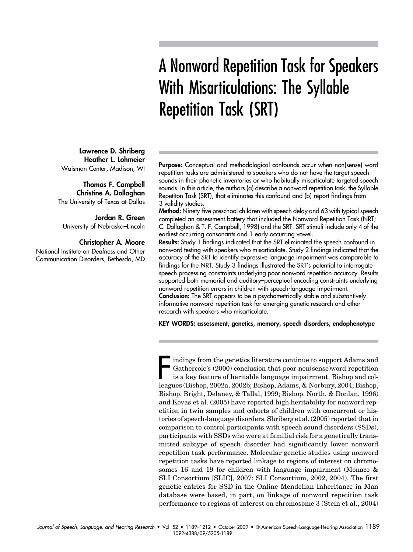# A Nonword Repetition Task for Speakers With Misarticulations: The Syllable Repetition Task (SRT)

Purpose: Conceptual and methodological confounds occur when non(sense) word repetition tasks are administered to speakers who do not have the target speech sounds in their phonetic inventories or who habitually misarticulate targeted speech sounds. In this article, the authors (a) describe a nonword repetition task, the Syllable Repetiton Task (SRT), that eliminates this confound and (b) report findings from 3 validity studies.

Method: Ninety-five preschool children with speech delay and 63 with typical speech completed an assessment battery that included the Nonword Repetition Task (NRT; C. Dollaghan & T. F. Campbell, 1998) and the SRT. SRT stimuli include only 4 of the earliest occurring consonants and 1 early occurring vowel.

Results: Study 1 findings indicated that the SRT eliminated the speech confound in nonword testing with speakers who misarticulate. Study 2 findings indicated that the accuracy of the SRT to identify expressive language impairment was comparable to findings for the NRT. Study 3 findings illustrated the SRT's potential to interrogate speech processing constraints underlying poor nonword repetition accuracy. Results supported both memorial and auditory–perceptual encoding constraints underlying nonword repetition errors in children with speech-language impairment. Conclusion: The SRT appears to be a psychometrically stable and substantively informative nonword repetition task for emerging genetic research and other research with speakers who misarticulate.

KEY WORDS: assessment, genetics, memory, speech disorders, endophenotype

Indings from the genetics literature continue to support Adams and Gathercole's (2000) conclusion that poor non(sense)word repetition is a key feature of heritable language impairment. Bishop and colleagues (Bishop, 2002a, indings from the genetics literature continue to support Adams and Gathercole's (2000) conclusion that poor non(sense)word repetition is a key feature of heritable language impairment. Bishop and col-Bishop, Bright, Delaney, & Tallal, 1999; Bishop, North, & Donlan, 1996) and Kovas et al. (2005) have reported high heritability for nonword repetition in twin samples and cohorts of children with concurrent or histories of speech-language disorders. Shriberg et al. (2005) reported that in comparison to control participants with speech sound disorders (SSDs), participants with SSDs who were at familial risk for a genetically transmitted subtype of speech disorder had significantly lower nonword repetition task performance. Molecular genetic studies using nonword repetition tasks have reported linkage to regions of interest on chromosomes 16 and 19 for children with language impairment (Monaco & SLI Consortium [SLIC], 2007; SLI Consortium, 2002, 2004). The first genetic entries for SSD in the Online Mendelian Inheritance in Man database were based, in part, on linkage of nonword repetition task performance to regions of interest on chromosome 3 (Stein et al., 2004)

Lawrence D. Shriberg Heather L. Lohmeier Waisman Center, Madison, WI

Thomas F. Campbell Christine A. Dollaghan The University of Texas at Dallas

Jordan R. Green University of Nebraska–Lincoln

#### Christopher A. Moore

National Institute on Deafness and Other Communication Disorders, Bethesda, MD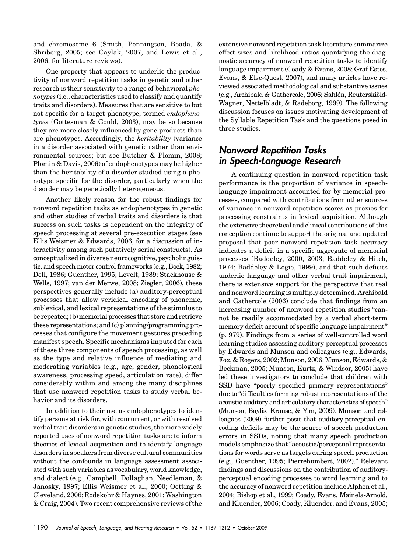and chromosome 6 (Smith, Pennington, Boada, & Shriberg, 2005; see Caylak, 2007, and Lewis et al., 2006, for literature reviews).

One property that appears to underlie the productivity of nonword repetition tasks in genetic and other research is their sensitivity to a range of behavioral phenotypes (i.e., characteristics used to classify and quantify traits and disorders). Measures that are sensitive to but not specific for a target phenotype, termed endophenotypes (Gottesman & Gould, 2003), may be so because they are more closely influenced by gene products than are phenotypes. Accordingly, the heritability (variance in a disorder associated with genetic rather than environmental sources; but see Butcher & Plomin, 2008; Plomin & Davis, 2006) of endophenotypes may be higher than the heritability of a disorder studied using a phenotype specific for the disorder, particularly when the disorder may be genetically heterogeneous.

Another likely reason for the robust findings for nonword repetition tasks as endophenotypes in genetic and other studies of verbal traits and disorders is that success on such tasks is dependent on the integrity of speech processing at several pre-execution stages (see Ellis Weismer & Edwards, 2006, for a discussion of interactivity among such putatively serial constructs). As conceptualized in diverse neurocognitive, psycholinguistic, and speech motor control frameworks (e.g., Bock, 1982; Dell, 1986; Guenther, 1995; Levelt, 1989; Stackhouse & Wells, 1997; van der Merwe, 2008; Ziegler, 2006), these perspectives generally include (a) auditory-perceptual processes that allow veridical encoding of phonemic, sublexical, and lexical representations of the stimulus to be repeated; (b) memorial processes that store and retrieve these representations; and (c) planning/programming processes that configure the movement gestures preceding manifest speech. Specific mechanisms imputed for each of these three components of speech processing, as well as the type and relative influence of mediating and moderating variables (e.g., age, gender, phonological awareness, processing speed, articulation rate), differ considerably within and among the many disciplines that use nonword repetition tasks to study verbal behavior and its disorders.

In addition to their use as endophenotypes to identify persons at risk for, with concurrent, or with resolved verbal trait disorders in genetic studies, the more widely reported uses of nonword repetition tasks are to inform theories of lexical acquisition and to identify language disorders in speakers from diverse cultural communities without the confounds in language assessment associated with such variables as vocabulary, world knowledge, and dialect (e.g., Campbell, Dollaghan, Needleman, & Janosky, 1997; Ellis Weismer et al., 2000; Oetting & Cleveland, 2006; Rodekohr & Haynes, 2001; Washington & Craig, 2004). Two recent comprehensive reviews of the extensive nonword repetition task literature summarize effect sizes and likelihood ratios quantifying the diagnostic accuracy of nonword repetition tasks to identify language impairment (Coady & Evans, 2008; Graf Estes, Evans, & Else-Quest, 2007), and many articles have reviewed associated methodological and substantive issues (e.g., Archibald & Gathercole, 2006; Sahlén, Reuterskiöld-Wagner, Nettelbladt, & Radeborg, 1999). The following discussion focuses on issues motivating development of the Syllable Repetition Task and the questions posed in three studies.

#### Nonword Repetition Tasks in Speech-Language Research

A continuing question in nonword repetition task performance is the proportion of variance in speechlanguage impairment accounted for by memorial processes, compared with contributions from other sources of variance in nonword repetition scores as proxies for processing constraints in lexical acquisition. Although the extensive theoretical and clinical contributions of this conception continue to support the original and updated proposal that poor nonword repetition task accuracy indicates a deficit in a specific aggregate of memorial processes (Baddeley, 2000, 2003; Baddeley & Hitch, 1974; Baddeley & Logie, 1999), and that such deficits underlie language and other verbal trait impairment, there is extensive support for the perspective that real and nonword learning is multiply determined. Archibald and Gathercole (2006) conclude that findings from an increasing number of nonword repetition studies "cannot be readily accommodated by a verbal short-term memory deficit account of specific language impairment" (p. 979). Findings from a series of well-controlled word learning studies assessing auditory-perceptual processes by Edwards and Munson and colleagues (e.g., Edwards, Fox, & Rogers, 2002; Munson, 2006; Munson, Edwards, & Beckman, 2005; Munson, Kurtz, & Windsor, 2005) have led these investigators to conclude that children with SSD have "poorly specified primary representations" due to "difficulties forming robust representations of the acoustic-auditory and articulatory characteristics of speech" (Munson, Baylis, Krause, & Yim, 2009). Munson and colleagues (2009) further posit that auditory-perceptual encoding deficits may be the source of speech production errors in SSDs, noting that many speech production models emphasize that"acoustic/perceptual representations for words serve as targets during speech production (e.g., Guenther, 1995; Pierrehumbert, 2002)." Relevant findings and discussions on the contribution of auditoryperceptual encoding processes to word learning and to the accuracy of nonword repetition include Alphen et al., 2004; Bishop et al., 1999; Coady, Evans, Mainela-Arnold, and Kluender, 2006; Coady, Kluender, and Evans, 2005;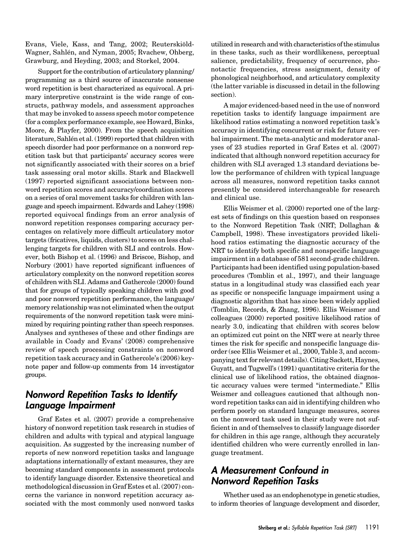Evans, Viele, Kass, and Tang, 2002; Reuterskiöld-Wagner, Sahlén, and Nyman, 2005; Rvachew, Ohberg, Grawburg, and Heyding, 2003; and Storkel, 2004.

Support for the contribution of articulatory planning/ programming as a third source of inaccurate nonsense word repetition is best characterized as equivocal. A primary interpretive constraint is the wide range of constructs, pathway models, and assessment approaches that may be invoked to assess speech motor competence (for a complex performance example, see Howard, Binks, Moore, & Playfer, 2000). From the speech acquisition literature, Sahlén et al. (1999) reported that children with speech disorder had poor performance on a nonword repetition task but that participants' accuracy scores were not significantly associated with their scores on a brief task assessing oral motor skills. Stark and Blackwell (1997) reported significant associations between nonword repetition scores and accuracy/coordination scores on a series of oral movement tasks for children with language and speech impairment. Edwards and Lahey (1998) reported equivocal findings from an error analysis of nonword repetition responses comparing accuracy percentages on relatively more difficult articulatory motor targets (fricatives, liquids, clusters) to scores on less challenging targets for children with SLI and controls. However, both Bishop et al. (1996) and Briscoe, Bishop, and Norbury (2001) have reported significant influences of articulatory complexity on the nonword repetition scores of children with SLI. Adams and Gathercole (2000) found that for groups of typically speaking children with good and poor nonword repetition performance, the language/ memory relationship was not eliminated when the output requirements of the nonword repetition task were minimized by requiring pointing rather than speech responses. Analyses and syntheses of these and other findings are available in Coady and Evans' (2008) comprehensive review of speech processing constraints on nonword repetition task accuracy and in Gathercole's (2006) keynote paper and follow-up comments from 14 investigator groups.

#### Nonword Repetition Tasks to Identify Language Impairment

Graf Estes et al. (2007) provide a comprehensive history of nonword repetition task research in studies of children and adults with typical and atypical language acquisition. As suggested by the increasing number of reports of new nonword repetition tasks and language adaptations internationally of extant measures, they are becoming standard components in assessment protocols to identify language disorder. Extensive theoretical and methodological discussion in Graf Estes et al. (2007) concerns the variance in nonword repetition accuracy associated with the most commonly used nonword tasks

utilized in research and with characteristics of the stimulus in these tasks, such as their wordlikeness, perceptual salience, predictability, frequency of occurrence, phonotactic frequencies, stress assignment, density of phonological neighborhood, and articulatory complexity (the latter variable is discussed in detail in the following section).

A major evidenced-based need in the use of nonword repetition tasks to identify language impairment are likelihood ratios estimating a nonword repetition task's accuracy in identifying concurrent or risk for future verbal impairment. The meta-analytic and moderator analyses of 23 studies reported in Graf Estes et al. (2007) indicated that although nonword repetition accuracy for children with SLI averaged 1.3 standard deviations below the performance of children with typical language across all measures, nonword repetition tasks cannot presently be considered interchangeable for research and clinical use.

Ellis Weismer et al. (2000) reported one of the largest sets of findings on this question based on responses to the Nonword Repetition Task (NRT; Dollaghan & Campbell, 1998). These investigators provided likelihood ratios estimating the diagnostic accuracy of the NRT to identify both specific and nonspecific language impairment in a database of 581 second-grade children. Participants had been identified using population-based procedures (Tomblin et al., 1997), and their language status in a longitudinal study was classified each year as specific or nonspecific language impairment using a diagnostic algorithm that has since been widely applied (Tomblin, Records, & Zhang, 1996). Ellis Weismer and colleagues (2000) reported positive likelihood ratios of nearly 3.0, indicating that children with scores below an optimized cut point on the NRT were at nearly three times the risk for specific and nonspecific language disorder (see Ellis Weismer et al., 2000, Table 3, and accompanying text for relevant details). Citing Sackett, Haynes, Guyatt, and Tugwell's (1991) quantitative criteria for the clinical use of likelihood ratios, the obtained diagnostic accuracy values were termed "intermediate." Ellis Weismer and colleagues cautioned that although nonword repetition tasks can aid in identifying children who perform poorly on standard language measures, scores on the nonword task used in their study were not sufficient in and of themselves to classify language disorder for children in this age range, although they accurately identified children who were currently enrolled in language treatment.

#### A Measurement Confound in Nonword Repetition Tasks

Whether used as an endophenotype in genetic studies, to inform theories of language development and disorder,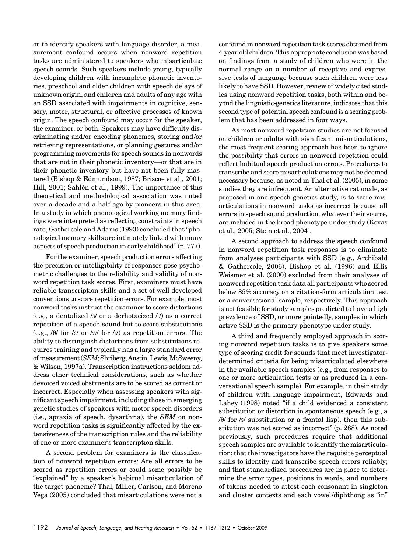or to identify speakers with language disorder, a measurement confound occurs when nonword repetition tasks are administered to speakers who misarticulate speech sounds. Such speakers include young, typically developing children with incomplete phonetic inventories, preschool and older children with speech delays of unknown origin, and children and adults of any age with an SSD associated with impairments in cognitive, sensory, motor, structural, or affective processes of known origin. The speech confound may occur for the speaker, the examiner, or both. Speakers may have difficulty discriminating and/or encoding phonemes, storing and/or retrieving representations, or planning gestures and/or programming movements for speech sounds in nonwords that are not in their phonetic inventory—or that are in their phonetic inventory but have not been fully mastered (Bishop & Edmundson, 1987; Briscoe et al., 2001; Hill, 2001; Sahlén et al., 1999). The importance of this theoretical and methodological association was noted over a decade and a half ago by pioneers in this area. In a study in which phonological working memory findings were interpreted as reflecting constraints in speech rate, Gathercole and Adams (1993) concluded that "phonological memory skills are intimately linked with many aspects of speech production in early childhood" (p. 777).

For the examiner, speech production errors affecting the precision or intelligibility of responses pose psychometric challenges to the reliability and validity of nonword repetition task scores. First, examiners must have reliable transcription skills and a set of well-developed conventions to score repetition errors. For example, most nonword tasks instruct the examiner to score distortions (e.g., a dentalized /s/ or a derhotacized /r/) as a correct repetition of a speech sound but to score substitutions (e.g.,  $/0$  for /s/ or /w/ for /r/) as repetition errors. The ability to distinguish distortions from substitutions requires training and typically has a large standard error of measurement (SEM; Shriberg, Austin, Lewis, McSweeny, & Wilson, 1997a). Transcription instructions seldom address other technical considerations, such as whether devoiced voiced obstruents are to be scored as correct or incorrect. Especially when assessing speakers with significant speech impairment, including those in emerging genetic studies of speakers with motor speech disorders (i.e., apraxia of speech, dysarthria), the SEM on nonword repetition tasks is significantly affected by the extensiveness of the transcription rules and the reliability of one or more examiner's transcription skills.

A second problem for examiners is the classification of nonword repetition errors: Are all errors to be scored as repetition errors or could some possibly be "explained" by a speaker's habitual misarticulation of the target phoneme? Thal, Miller, Carlson, and Moreno Vega (2005) concluded that misarticulations were not a

confound in nonword repetition task scores obtained from 4-year-old children. This appropriate conclusion was based on findings from a study of children who were in the normal range on a number of receptive and expressive tests of language because such children were less likely to have SSD. However, review of widely cited studies using nonword repetition tasks, both within and beyond the linguistic-genetics literature, indicates that this second type of potential speech confound is a scoring problem that has been addressed in four ways.

As most nonword repetition studies are not focused on children or adults with significant misarticulations, the most frequent scoring approach has been to ignore the possibility that errors in nonword repetition could reflect habitual speech production errors. Procedures to transcribe and score misarticulations may not be deemed necessary because, as noted in Thal et al. (2005), in some studies they are infrequent. An alternative rationale, as proposed in one speech-genetics study, is to score misarticulations in nonword tasks as incorrect because all errors in speech sound production, whatever their source, are included in the broad phenotype under study (Kovas et al., 2005; Stein et al., 2004).

A second approach to address the speech confound in nonword repetition task responses is to eliminate from analyses participants with SSD (e.g., Archibald & Gathercole, 2006). Bishop et al. (1996) and Ellis Weismer et al. (2000) excluded from their analyses of nonword repetition task data all participants who scored below 85% accuracy on a citation-form articulation test or a conversational sample, respectively. This approach is not feasible for study samples predicted to have a high prevalence of SSD, or more pointedly, samples in which active SSD is the primary phenotype under study.

A third and frequently employed approach in scoring nonword repetition tasks is to give speakers some type of scoring credit for sounds that meet investigatordetermined criteria for being misarticulated elsewhere in the available speech samples (e.g., from responses to one or more articulation tests or as produced in a conversational speech sample). For example, in their study of children with language impairment, Edwards and Lahey (1998) noted "if a child evidenced a consistent substitution or distortion in spontaneous speech (e.g., a  $\frac{1}{9}$  for /s/ substitution or a frontal lisp), then this substitution was not scored as incorrect" (p. 288). As noted previously, such procedures require that additional speech samples are available to identify the misarticulation; that the investigators have the requisite perceptual skills to identify and transcribe speech errors reliably; and that standardized procedures are in place to determine the error types, positions in words, and numbers of tokens needed to attest each consonant in singleton and cluster contexts and each vowel/diphthong as "in"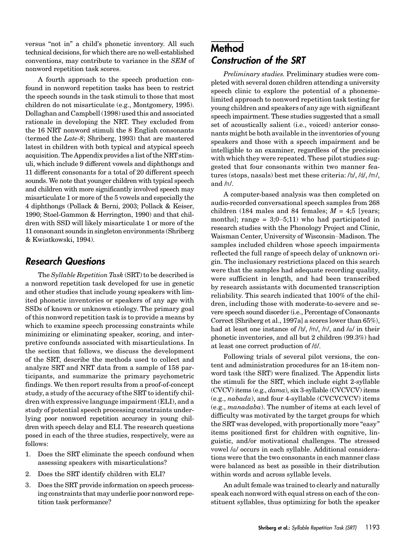versus "not in" a child's phonetic inventory. All such technical decisions, for which there are no well-established conventions, may contribute to variance in the SEM of nonword repetition task scores.

A fourth approach to the speech production confound in nonword repetition tasks has been to restrict the speech sounds in the task stimuli to those that most children do not misarticulate (e.g., Montgomery, 1995). Dollaghan and Campbell (1998) used this and associated rationale in developing the NRT. They excluded from the 16 NRT nonword stimuli the 8 English consonants (termed the Late-8; Shriberg, 1993) that are mastered latest in children with both typical and atypical speech acquisition. The Appendix provides a list of the NRT stimuli, which include 9 different vowels and diphthongs and 11 different consonants for a total of 20 different speech sounds. We note that younger children with typical speech and children with more significantly involved speech may misarticulate 1 or more of the 5 vowels and especially the 4 diphthongs (Pollack & Berni, 2003; Pollack & Keiser, 1990; Stoel-Gammon & Herrington, 1990) and that children with SSD will likely misarticulate 1 or more of the 11 consonant sounds in singleton environments (Shriberg & Kwiatkowski, 1994).

#### Research Questions

The Syllable Repetition Task (SRT) to be described is a nonword repetition task developed for use in genetic and other studies that include young speakers with limited phonetic inventories or speakers of any age with SSDs of known or unknown etiology. The primary goal of this nonword repetition task is to provide a means by which to examine speech processing constraints while minimizing or eliminating speaker, scoring, and interpretive confounds associated with misarticulations. In the section that follows, we discuss the development of the SRT, describe the methods used to collect and analyze SRT and NRT data from a sample of 158 participants, and summarize the primary psychometric findings. We then report results from a proof-of-concept study, a study of the accuracy of the SRT to identify children with expressive language impairment (ELI), and a study of potential speech processing constraints underlying poor nonword repetition accuracy in young children with speech delay and ELI. The research questions posed in each of the three studies, respectively, were as follows:

- 1. Does the SRT eliminate the speech confound when assessing speakers with misarticulations?
- 2. Does the SRT identify children with ELI?
- 3. Does the SRT provide information on speech processing constraints that may underlie poor nonword repetition task performance?

### Method Construction of the SRT

Preliminary studies. Preliminary studies were completed with several dozen children attending a university speech clinic to explore the potential of a phonemelimited approach to nonword repetition task testing for young children and speakers of any age with significant speech impairment. These studies suggested that a small set of acoustically salient (i.e., voiced) anterior consonants might be both available in the inventories of young speakers and those with a speech impairment and be intelligible to an examiner, regardless of the precision with which they were repeated. These pilot studies suggested that four consonants within two manner features (stops, nasals) best met these criteria: /b/, /d/, /m/, and /n/.

A computer-based analysis was then completed on audio-recorded conversational speech samples from 268 children (184 males and 84 females;  $M = 4.5$  [years; months]; range =  $3(0-5,11)$  who had participated in research studies with the Phonology Project and Clinic, Waisman Center, University of Wisconsin–Madison. The samples included children whose speech impairments reflected the full range of speech delay of unknown origin. The inclusionary restrictions placed on this search were that the samples had adequate recording quality, were sufficient in length, and had been transcribed by research assistants with documented transcription reliability. This search indicated that 100% of the children, including those with moderate-to-severe and severe speech sound disorder (i.e., Percentage of Consonants Correct [Shriberg et al., 1997a] a scores lower than 65%), had at least one instance of  $/b$ ,  $/m$ ,  $/n$ , and  $/a$  in their phonetic inventories, and all but 2 children (99.3%) had at least one correct production of /d/.

Following trials of several pilot versions, the content and administration procedures for an 18-item nonword task (the SRT) were finalized. The Appendix lists the stimuli for the SRT, which include eight 2-syllable (CVCV) items (e.g., dama), six 3-syllable (CVCVCV) items (e.g., nabada), and four 4-syllable (CVCVCVCV) items (e.g., manadaba). The number of items at each level of difficulty was motivated by the target groups for which the SRT was developed, with proportionally more "easy" items positioned first for children with cognitive, linguistic, and/or motivational challenges. The stressed vowel /a/ occurs in each syllable. Additional considerations were that the two consonants in each manner class were balanced as best as possible in their distribution within words and across syllable levels.

An adult female was trained to clearly and naturally speak each nonword with equal stress on each of the constituent syllables, thus optimizing for both the speaker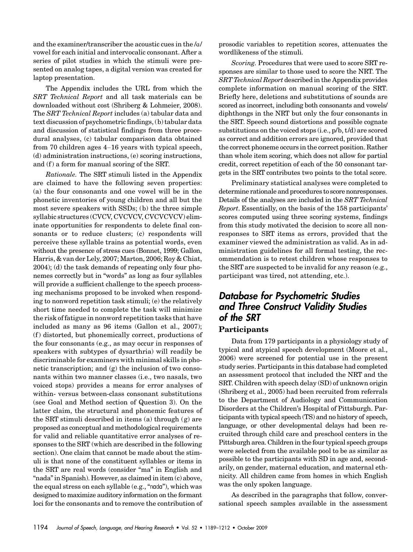and the examiner/transcriber the acoustic cues in the  $/a/$ vowel for each initial and intervocalic consonant. After a series of pilot studies in which the stimuli were presented on analog tapes, a digital version was created for laptop presentation.

The Appendix includes the URL from which the SRT Technical Report and all task materials can be downloaded without cost (Shriberg & Lohmeier, 2008). The SRT Technical Report includes (a) tabular data and text discussion of psychometric findings, (b) tabular data and discussion of statistical findings from three procedural analyses, (c) tabular comparison data obtained from 70 children ages 4–16 years with typical speech, (d) administration instructions, (e) scoring instructions, and  $(f)$  a form for manual scoring of the SRT.

Rationale. The SRT stimuli listed in the Appendix are claimed to have the following seven properties: (a) the four consonants and one vowel will be in the phonetic inventories of young children and all but the most severe speakers with SSDs; (b) the three simple syllabic structures (CVCV, CVCVCV, CVCVCVCV) eliminate opportunities for respondents to delete final consonants or to reduce clusters; (c) respondents will perceive these syllable trains as potential words, even without the presence of stress cues (Bonnet, 1999; Gallon, Harris, & van der Lely, 2007; Marton, 2006; Roy & Chiat, 2004); (d) the task demands of repeating only four phonemes correctly but in "words" as long as four syllables will provide a sufficient challenge to the speech processing mechanisms proposed to be invoked when responding to nonword repetition task stimuli; (e) the relatively short time needed to complete the task will minimize the risk of fatigue in nonword repetition tasks that have included as many as 96 items (Gallon et al., 2007); (f ) distorted, but phonemically correct, productions of the four consonants (e.g., as may occur in responses of speakers with subtypes of dysarthria) will readily be discriminable for examiners with minimal skills in phonetic transcription; and (g) the inclusion of two consonants within two manner classes (i.e., two nasals, two voiced stops) provides a means for error analyses of within- versus between-class consonant substitutions (see Goal and Method section of Question 3). On the latter claim, the structural and phonemic features of the SRT stimuli described in items (a) through (g) are proposed as conceptual and methodological requirements for valid and reliable quantitative error analyses of responses to the SRT (which are described in the following section). One claim that cannot be made about the stimuli is that none of the constituent syllables or items in the SRT are real words (consider "ma" in English and "nada"in Spanish). However, as claimed in item (c) above, the equal stress on each syllable (e.g., "nada"), which was designed to maximize auditory information on the formant loci for the consonants and to remove the contribution of prosodic variables to repetition scores, attenuates the wordlikeness of the stimuli.

Scoring. Procedures that were used to score SRT responses are similar to those used to score the NRT. The SRT Technical Report described in the Appendix provides complete information on manual scoring of the SRT. Briefly here, deletions and substitutions of sounds are scored as incorrect, including both consonants and vowels/ diphthongs in the NRT but only the four consonants in the SRT. Speech sound distortions and possible cognate substitutions on the voiced stops (i.e., p/b, t/d) are scored as correct and addition errors are ignored, provided that the correct phoneme occurs in the correct position. Rather than whole item scoring, which does not allow for partial credit, correct repetition of each of the 50 consonant targets in the SRT contributes two points to the total score.

Preliminary statistical analyses were completed to determine rationale and procedures to score nonresponses. Details of the analyses are included in the *SRT Technical* Report. Essentially, on the basis of the 158 participants' scores computed using three scoring systems, findings from this study motivated the decision to score all nonresponses to SRT items as errors, provided that the examiner viewed the administration as valid. As in administration guidelines for all formal testing, the recommendation is to retest children whose responses to the SRT are suspected to be invalid for any reason (e.g., participant was tired, not attending, etc.).

#### Database for Psychometric Studies and Three Construct Validity Studies of the SRT **Participants**

Data from 179 participants in a physiology study of typical and atypical speech development (Moore et al., 2006) were screened for potential use in the present study series. Participants in this database had completed an assessment protocol that included the NRT and the SRT. Children with speech delay (SD) of unknown origin (Shriberg et al., 2005) had been recruited from referrals to the Department of Audiology and Communication Disorders at the Children's Hospital of Pittsburgh. Participants with typical speech (TS) and no history of speech, language, or other developmental delays had been recruited through child care and preschool centers in the Pittsburgh area. Children in the four typical speech groups were selected from the available pool to be as similar as possible to the participants with SD in age and, secondarily, on gender, maternal education, and maternal ethnicity. All children came from homes in which English was the only spoken language.

As described in the paragraphs that follow, conversational speech samples available in the assessment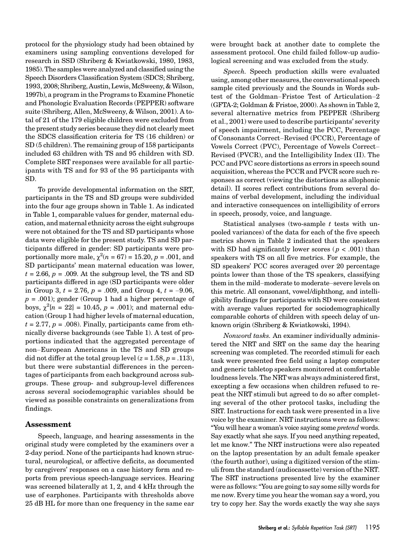protocol for the physiology study had been obtained by examiners using sampling conventions developed for research in SSD (Shriberg & Kwiatkowski, 1980, 1983, 1985). The samples were analyzed and classified using the Speech Disorders Classification System (SDCS; Shriberg, 1993, 2008; Shriberg, Austin, Lewis, McSweeny, & Wilson, 1997b), a program in the Programs to Examine Phonetic and Phonologic Evaluation Records (PEPPER) software suite (Shriberg, Allen, McSweeny, & Wilson, 2001). A total of 21 of the 179 eligible children were excluded from the present study series because they did not clearly meet the SDCS classification criteria for TS (16 children) or SD (5 children). The remaining group of 158 participants included 63 children with TS and 95 children with SD. Complete SRT responses were available for all participants with TS and for 93 of the 95 participants with SD.

To provide developmental information on the SRT, participants in the TS and SD groups were subdivided into the four age groups shown in Table 1. As indicated in Table 1, comparable values for gender, maternal education, and maternal ethnicity across the eight subgroups were not obtained for the TS and SD participants whose data were eligible for the present study. TS and SD participants differed in gender: SD participants were proportionally more male,  $\chi^2(n = 67) = 15.20, p = .001$ , and SD participants' mean maternal education was lower,  $t = 2.66$ ,  $p = .009$ . At the subgroup level, the TS and SD participants differed in age (SD participants were older in Group 3,  $t = 2.76$ ,  $p = .009$ , and Group 4,  $t = -9.06$ ,  $p = .001$ ; gender (Group 1 had a higher percentage of boys,  $\chi^2[n = 22] = 10.45$ ,  $p = .001$ ; and maternal education (Group 1 had higher levels of maternal education,  $t = 2.77$ ,  $p = .008$ ). Finally, participants came from ethnically diverse backgrounds (see Table 1). A test of proportions indicated that the aggregated percentage of non–European Americans in the TS and SD groups did not differ at the total group level  $(z = 1.58, p = .113)$ , but there were substantial differences in the percentages of participants from each background across subgroups. These group- and subgroup-level differences across several sociodemographic variables should be viewed as possible constraints on generalizations from findings.

#### Assessment

Speech, language, and hearing assessments in the original study were completed by the examiners over a 2-day period. None of the participants had known structural, neurological, or affective deficits, as documented by caregivers' responses on a case history form and reports from previous speech-language services. Hearing was screened bilaterally at 1, 2, and 4 kHz through the use of earphones. Participants with thresholds above 25 dB HL for more than one frequency in the same ear

were brought back at another date to complete the assessment protocol. One child failed follow-up audiological screening and was excluded from the study.

Speech. Speech production skills were evaluated using, among other measures, the conversational speech sample cited previously and the Sounds in Words subtest of the Goldman–Fristoe Test of Articulation–2 (GFTA-2; Goldman & Fristoe, 2000). As shown in Table 2, several alternative metrics from PEPPER (Shriberg et al., 2001) were used to describe participants' severity of speech impairment, including the PCC, Percentage of Consonants Correct–Revised (PCCR), Percentage of Vowels Correct (PVC), Percentage of Vowels Correct– Revised (PVCR), and the Intelligibility Index (II). The PCC and PVC score distortions as errors in speech sound acquisition, whereas the PCCR and PVCR score such responses as correct (viewing the distortions as allophonic detail). II scores reflect contributions from several domains of verbal development, including the individual and interactive consequences on intelligibility of errors in speech, prosody, voice, and language.

Statistical analyses (two-sample  $t$  tests with unpooled variances) of the data for each of the five speech metrics shown in Table 2 indicated that the speakers with SD had significantly lower scores ( $p < .001$ ) than speakers with TS on all five metrics. For example, the SD speakers' PCC scores averaged over 20 percentage points lower than those of the TS speakers, classifying them in the mild–moderate to moderate–severe levels on this metric. All consonant, vowel/diphthong, and intelligibility findings for participants with SD were consistent with average values reported for sociodemographically comparable cohorts of children with speech delay of unknown origin (Shriberg & Kwiatkowski, 1994).

Nonword tasks. An examiner individually administered the NRT and SRT on the same day the hearing screening was completed. The recorded stimuli for each task were presented free field using a laptop computer and generic tabletop speakers monitored at comfortable loudness levels. The NRTwas always administered first, excepting a few occasions when children refused to repeat the NRT stimuli but agreed to do so after completing several of the other protocol tasks, including the SRT. Instructions for each task were presented in a live voice by the examiner. NRT instructions were as follows: "You will hear a woman's voice saying some pretend words. Say exactly what she says. If you need anything repeated, let me know." The NRT instructions were also repeated on the laptop presentation by an adult female speaker (the fourth author), using a digitized version of the stimuli from the standard (audiocassette) version of the NRT. The SRT instructions presented live by the examiner were as follows:"You are going to say some silly words for me now. Every time you hear the woman say a word, you try to copy her. Say the words exactly the way she says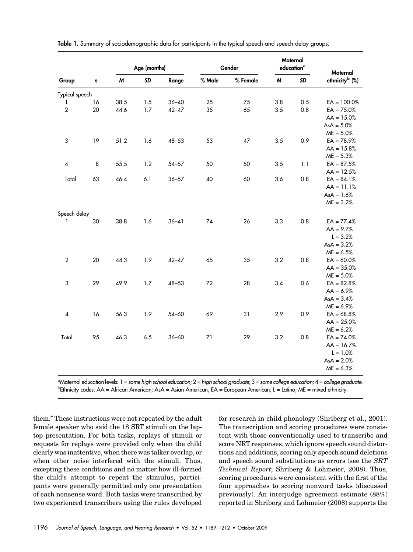|                  |    |                  | Age (months) |           |        | Gender   |     | Maternal<br>education <sup>a</sup> | Maternal                   |
|------------------|----|------------------|--------------|-----------|--------|----------|-----|------------------------------------|----------------------------|
| Group            | n  | $\boldsymbol{M}$ | <b>SD</b>    | Range     | % Male | % Female | M   | SD                                 | ethnicity <sup>b</sup> (%) |
| Typical speech   |    |                  |              |           |        |          |     |                                    |                            |
|                  | 16 | 38.5             | 1.5          | $36 - 40$ | 25     | 75       | 3.8 | 0.5                                | $EA = 100.0%$              |
| $\overline{2}$   | 20 | 44.6             | 1.7          | $42 - 47$ | 35     | 65       | 3.5 | 0.8                                | $EA = 75.0%$               |
|                  |    |                  |              |           |        |          |     |                                    | $AA = 15.0%$               |
|                  |    |                  |              |           |        |          |     |                                    | $AsA = 5.0%$               |
|                  |    |                  |              |           |        |          |     |                                    | $ME = 5.0%$                |
| 3                | 19 | 51.2             | 1.6          | $48 - 53$ | 53     | 47       | 3.5 | 0.9                                | $EA = 78.9%$               |
|                  |    |                  |              |           |        |          |     |                                    | $AA = 15.8%$               |
|                  |    |                  |              |           |        |          |     |                                    | $ME = 5.3%$                |
| $\overline{4}$   | 8  | 55.5             | 1.2          | $54 - 57$ | 50     | 50       | 3.5 | 1.1                                | $EA = 87.5%$               |
|                  |    |                  |              |           |        |          |     |                                    | $AA = 12.5%$               |
| Total            | 63 | 46.4             | 6.1          | $36 - 57$ | 40     | 60       | 3.6 | 0.8                                | $EA = 84.1%$               |
|                  |    |                  |              |           |        |          |     |                                    | $AA = 11.1%$               |
|                  |    |                  |              |           |        |          |     |                                    | $AsA = 1.6%$               |
|                  |    |                  |              |           |        |          |     |                                    | $ME = 3.2%$                |
| Speech delay     |    |                  |              |           |        |          |     |                                    |                            |
| 1                | 30 | 38.8             | 1.6          | $36 - 41$ | 74     | 26       | 3.3 | 0.8                                | $EA = 77.4%$               |
|                  |    |                  |              |           |        |          |     |                                    | $AA = 9.7%$                |
|                  |    |                  |              |           |        |          |     |                                    | $L = 3.2%$                 |
|                  |    |                  |              |           |        |          |     |                                    | $AsA = 3.2%$               |
|                  |    |                  |              |           |        |          |     |                                    | $ME = 6.5%$                |
| $\boldsymbol{2}$ | 20 | 44.3             | 1.9          | $42 - 47$ | 65     | 35       | 3.2 | 0.8                                | $EA = 60.0%$               |
|                  |    |                  |              |           |        |          |     |                                    | $AA = 35.0%$               |
|                  |    |                  |              |           |        |          |     |                                    | $ME = 5.0%$                |
| $\sqrt{3}$       | 29 | 49.9             | $1.7$        | $48 - 53$ | 72     | 28       | 3.4 | 0.6                                | $EA = 82.8%$               |
|                  |    |                  |              |           |        |          |     |                                    | $AA = 6.9%$                |
|                  |    |                  |              |           |        |          |     |                                    | $AsA = 3.4%$               |
|                  |    |                  |              |           |        |          |     |                                    | $ME = 6.9%$                |
| 4                | 16 | 56.3             | 1.9          | $54 - 60$ | 69     | 31       | 2.9 | 0.9                                | $EA = 68.8%$               |
|                  |    |                  |              |           |        |          |     |                                    | $AA = 25.0%$               |
|                  |    |                  |              |           |        |          |     |                                    | $ME = 6.2%$                |
| Total            | 95 | 46.3             | 6.5          | $36 - 60$ | 71     | 29       | 3.2 | 0.8                                | $EA = 74.0%$               |
|                  |    |                  |              |           |        |          |     |                                    | $AA = 16.7%$               |
|                  |    |                  |              |           |        |          |     |                                    | $L = 1.0%$                 |
|                  |    |                  |              |           |        |          |     |                                    | $AsA = 2.0%$               |
|                  |    |                  |              |           |        |          |     |                                    | $ME = 6.3%$                |

| Table 1. Summary of sociodemographic data for participants in the typical speech and speech delay groups. |  |  |  |  |  |  |  |  |
|-----------------------------------------------------------------------------------------------------------|--|--|--|--|--|--|--|--|
|                                                                                                           |  |  |  |  |  |  |  |  |

a Maternal education levels: 1 = some high school education;2= high school graduate;3= some college education;4= college graduate. <sup>b</sup>Ethnicity codes: AA = African American; AsA = Asian American; EA = European American; L = Latino; ME = mixed ethnicity.

them." These instructions were not repeated by the adult female speaker who said the 18 SRT stimuli on the laptop presentation. For both tasks, replays of stimuli or requests for replays were provided only when the child clearly was inattentive, when there was talker overlap, or when other noise interfered with the stimuli. Thus, excepting these conditions and no matter how ill-formed the child's attempt to repeat the stimulus, participants were generally permitted only one presentation of each nonsense word. Both tasks were transcribed by two experienced transcribers using the rules developed

for research in child phonology (Shriberg et al., 2001). The transcription and scoring procedures were consistent with those conventionally used to transcribe and score NRT responses, which ignore speech sound distortions and additions, scoring only speech sound deletions and speech sound substitutions as errors (see the SRT Technical Report; Shriberg & Lohmeier, 2008). Thus, scoring procedures were consistent with the first of the four approaches to scoring nonword tasks (discussed previously). An interjudge agreement estimate (88%) reported in Shriberg and Lohmeier (2008) supports the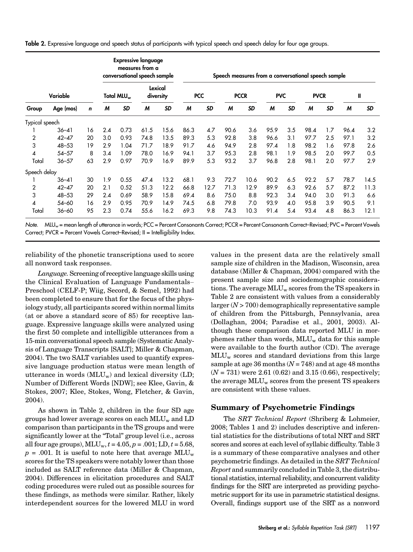Table 2. Expressive language and speech status of participants with typical speech and speech delay for four age groups.

|                |           |             |     |                        | <b>Expressive language</b><br>measures from a<br>conversational speech sample |                      | Speech measures from a conversational speech sample |            |      |             |            |           |             |           |      |           |  |
|----------------|-----------|-------------|-----|------------------------|-------------------------------------------------------------------------------|----------------------|-----------------------------------------------------|------------|------|-------------|------------|-----------|-------------|-----------|------|-----------|--|
|                | Variable  |             |     | Total MLU <sub>w</sub> |                                                                               | Lexical<br>diversity |                                                     | <b>PCC</b> |      | <b>PCCR</b> | <b>PVC</b> |           | <b>PVCR</b> |           | Ш    |           |  |
| Group          | Age (mos) | $\mathbf n$ | M   | <b>SD</b>              | M                                                                             | <b>SD</b>            | M                                                   | <b>SD</b>  | M    | <b>SD</b>   | M          | <b>SD</b> | M           | <b>SD</b> | M    | <b>SD</b> |  |
| Typical speech |           |             |     |                        |                                                                               |                      |                                                     |            |      |             |            |           |             |           |      |           |  |
|                | $36 - 41$ | 16          | 2.4 | 0.73                   | 61.5                                                                          | 15.6                 | 86.3                                                | 4.7        | 90.6 | 3.6         | 95.9       | 3.5       | 98.4        | 1.7       | 96.4 | 3.2       |  |
| 2              | $42 - 47$ | 20          | 3.0 | 0.93                   | 74.8                                                                          | 13.5                 | 89.3                                                | 5.3        | 92.8 | 3.8         | 96.6       | 3.1       | 97.7        | 2.5       | 97.1 | 3.2       |  |
| 3              | $48 - 53$ | 19          | 2.9 | 1.04                   | 71.7                                                                          | 18.9                 | 91.7                                                | 4.6        | 94.9 | 2.8         | 97.4       | 1.8       | 98.2        | 1.6       | 97.8 | 2.6       |  |
| 4              | $54 - 57$ | 8           | 3.4 | 1.09                   | 78.0                                                                          | 16.9                 | 94.1                                                | 3.7        | 95.3 | 2.8         | 98.1       | 1.9       | 98.5        | 2.0       | 99.7 | 0.5       |  |
| Total          | $36 - 57$ | 63          | 2.9 | 0.97                   | 70.9                                                                          | 16.9                 | 89.9                                                | 5.3        | 93.2 | 3.7         | 96.8       | 2.8       | 98.1        | 2.0       | 97.7 | 2.9       |  |
| Speech delay   |           |             |     |                        |                                                                               |                      |                                                     |            |      |             |            |           |             |           |      |           |  |
|                | $36 - 41$ | 30          | 1.9 | 0.55                   | 47.4                                                                          | 13.2                 | 68.1                                                | 9.3        | 72.7 | 10.6        | 90.2       | 6.5       | 92.2        | 5.7       | 78.7 | 14.5      |  |
| 2              | $42 - 47$ | 20          | 2.1 | 0.52                   | 51.3                                                                          | 12.2                 | 66.8                                                | 12.7       | 71.3 | 12.9        | 89.9       | 6.3       | 92.6        | 5.7       | 87.2 | 11.3      |  |
| 3              | $48 - 53$ | 29          | 2.4 | 0.69                   | 58.9                                                                          | 15.8                 | 69.4                                                | 8.6        | 75.0 | 8.8         | 92.3       | 3.4       | 94.0        | 3.0       | 91.3 | 6.6       |  |
| 4              | $54 - 60$ | 16          | 2.9 | 0.95                   | 70.9                                                                          | 14.9                 | 74.5                                                | 6.8        | 79.8 | 7.0         | 93.9       | 4.0       | 95.8        | 3.9       | 90.5 | 9.1       |  |
| Total          | $36 - 60$ | 95          | 2.3 | 0.74                   | 55.6                                                                          | 16.2                 | 69.3                                                | 9.8        | 74.3 | 10.3        | 91.4       | 5.4       | 93.4        | 4.8       | 86.3 | 12.1      |  |

Note. MLU<sub>w</sub> = mean length of utterance in words; PCC = Percent Consonants Correct; PCCR = Percent Consonants Correct–Revised; PVC = Percent Vowels Correct; PVCR = Percent Vowels Correct–Revised; II = Intelligibility Index.

reliability of the phonetic transcriptions used to score all nonword task responses.

Language. Screening of receptive language skills using the Clinical Evaluation of Language Fundamentals– Preschool (CELF-P; Wiig, Secord, & Semel, 1992) had been completed to ensure that for the focus of the physiology study, all participants scored within normal limits (at or above a standard score of 85) for receptive language. Expressive language skills were analyzed using the first 50 complete and intelligible utterances from a 15-min conversational speech sample (Systematic Analysis of Language Transcripts [SALT]; Miller & Chapman, 2004). The two SALT variables used to quantify expressive language production status were mean length of utterance in words  $(MLU_w)$  and lexical diversity  $(LD;$ Number of Different Words [NDW]; see Klee, Gavin, & Stokes, 2007; Klee, Stokes, Wong, Fletcher, & Gavin, 2004).

As shown in Table 2, children in the four SD age groups had lower average scores on each  $MLU_w$  and  $LD$ comparison than participants in the TS groups and were significantly lower at the "Total" group level (i.e., across all four age groups),  $MLU_w$ ,  $t = 4.05$ ,  $p = .001$ ;  $LD$ ,  $t = 5.68$ ,  $p = .001$ . It is useful to note here that average MLU<sub>w</sub> scores for the TS speakers were notably lower than those included as SALT reference data (Miller & Chapman, 2004). Differences in elicitation procedures and SALT coding procedures were ruled out as possible sources for these findings, as methods were similar. Rather, likely interdependent sources for the lowered MLU in word values in the present data are the relatively small sample size of children in the Madison, Wisconsin, area database (Miller & Chapman, 2004) compared with the present sample size and sociodemographic considerations. The average  $MLU_w$  scores from the TS speakers in Table 2 are consistent with values from a considerably  $larger (N > 700)$  demographically representative sample of children from the Pittsburgh, Pennsylvania, area (Dollaghan, 2004; Paradise et al., 2001, 2003). Although these comparison data reported MLU in morphemes rather than words,  $MLU_w$  data for this sample were available to the fourth author (CD). The average  $MLU<sub>w</sub>$  scores and standard deviations from this large sample at age 36 months  $(N = 748)$  and at age 48 months  $(N = 731)$  were 2.61 (0.62) and 3.15 (0.66), respectively; the average  $MLU_w$  scores from the present TS speakers are consistent with these values.

#### Summary of Psychometric Findings

The SRT Technical Report (Shriberg & Lohmeier, 2008; Tables 1 and 2) includes descriptive and inferential statistics for the distributions of total NRT and SRT scores and scores at each level of syllabic difficulty. Table 3 is a summary of these comparative analyses and other psychometric findings. As detailed in the SRT Technical Report and summarily concluded in Table 3, the distributional statistics, internal reliability, and concurrent validity findings for the SRT are interpreted as providing psychometric support for its use in parametric statistical designs. Overall, findings support use of the SRT as a nonword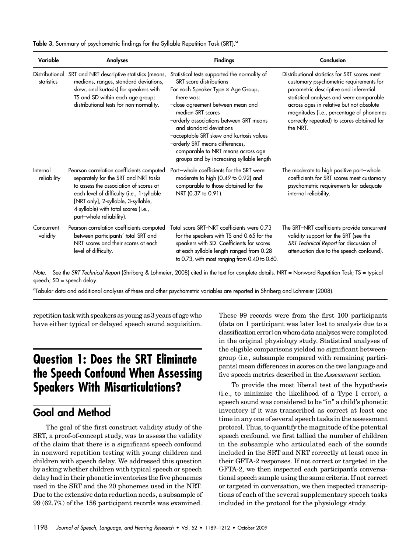| Table 3. Summary of psychometric findings for the Syllable Repetition Task (SRT). <sup>a</sup> |  |  |  |  |  |  |  |
|------------------------------------------------------------------------------------------------|--|--|--|--|--|--|--|
|------------------------------------------------------------------------------------------------|--|--|--|--|--|--|--|

| Variable                     | Analyses                                                                                                                                                                                                                                                                             | <b>Findings</b>                                                                                                                                                                                                                                                                                                                                                                                                                     | Conclusion                                                                                                                                                                                                                                                                                                                       |
|------------------------------|--------------------------------------------------------------------------------------------------------------------------------------------------------------------------------------------------------------------------------------------------------------------------------------|-------------------------------------------------------------------------------------------------------------------------------------------------------------------------------------------------------------------------------------------------------------------------------------------------------------------------------------------------------------------------------------------------------------------------------------|----------------------------------------------------------------------------------------------------------------------------------------------------------------------------------------------------------------------------------------------------------------------------------------------------------------------------------|
| Distributional<br>statistics | SRT and NRT descriptive statistics (means,<br>medians, ranges, standard deviations,<br>skew, and kurtosis) for speakers with<br>TS and SD within each age group;<br>distributional tests for non-normality.                                                                          | Statistical tests supported the normality of<br><b>SRT</b> score distributions<br>For each Speaker Type x Age Group,<br>there was:<br>-close agreement between mean and<br>median SRT scores<br>-orderly associations between SRT means<br>and standard deviations<br>-acceptable SRT skew and kurtosis values<br>-orderly SRT means differences,<br>comparable to NRT means across age<br>groups and by increasing syllable length | Distributional statistics for SRT scores meet<br>customary psychometric requirements for<br>parametric descriptive and inferential<br>statistical analyses and were comparable<br>across ages in relative but not absolute<br>magnitudes (i.e., percentage of phonemes<br>correctly repeated) to scores obtained for<br>the NRT. |
| Internal<br>reliability      | Pearson correlation coefficients computed<br>separately for the SRT and NRT tasks<br>to assess the association of scores at<br>each level of difficulty (i.e., 1-syllable<br>[NRT only], 2-syllable, 3-syllable,<br>4-syllable) with total scores (i.e.,<br>part-whole reliability). | Part-whole coefficients for the SRT were<br>moderate to high (0.49 to 0.92) and<br>comparable to those obtained for the<br>NRT (0.37 to 0.91).                                                                                                                                                                                                                                                                                      | The moderate to high positive part-whole<br>coefficients for SRT scores meet customary<br>psychometric requirements for adequate<br>internal reliability.                                                                                                                                                                        |
| Concurrent<br>validity       | Pearson correlation coefficients computed<br>between participants' total SRT and<br>NRT scores and their scores at each<br>level of difficulty.                                                                                                                                      | Total score SRT-NRT coefficients were 0.73<br>for the speakers with TS and 0.65 for the<br>speakers with SD. Coefficients for scores<br>at each syllable length ranged from 0.28<br>to 0.73, with most ranging from 0.40 to 0.60.                                                                                                                                                                                                   | The SRT-NRT coefficients provide concurrent<br>validity support for the SRT (see the<br>SRT Technical Report for discussion of<br>attenuation due to the speech confound).                                                                                                                                                       |

Note. See the SRT Technical Report (Shriberg & Lohmeier, 2008) cited in the text for complete details. NRT = Nonword Repetition Task; TS = typical speech; SD = speech delay.

a Tabular data and additional analyses of these and other psychometric variables are reported in Shriberg and Lohmeier (2008).

repetition task with speakers as young as 3 years of age who have either typical or delayed speech sound acquisition.

# Question 1: Does the SRT Eliminate the Speech Confound When Assessing Speakers With Misarticulations?

#### Goal and Method

The goal of the first construct validity study of the SRT, a proof-of-concept study, was to assess the validity of the claim that there is a significant speech confound in nonword repetition testing with young children and children with speech delay. We addressed this question by asking whether children with typical speech or speech delay had in their phonetic inventories the five phonemes used in the SRT and the 20 phonemes used in the NRT. Due to the extensive data reduction needs, a subsample of 99 (62.7%) of the 158 participant records was examined.

These 99 records were from the first 100 participants (data on 1 participant was later lost to analysis due to a classification error) on whom data analyses were completed in the original physiology study. Statistical analyses of the eligible comparisons yielded no significant betweengroup (i.e., subsample compared with remaining participants) mean differences in scores on the two language and five speech metrics described in the Assessment section.

To provide the most liberal test of the hypothesis (i.e., to minimize the likelihood of a Type I error), a speech sound was considered to be "in" a child's phonetic inventory if it was transcribed as correct at least one time in any one of several speech tasks in the assessment protocol. Thus, to quantify the magnitude of the potential speech confound, we first tallied the number of children in the subsample who articulated each of the sounds included in the SRT and NRT correctly at least once in their GFTA-2 responses. If not correct or targeted in the GFTA-2, we then inspected each participant's conversational speech sample using the same criteria. If not correct or targeted in conversation, we then inspected transcriptions of each of the several supplementary speech tasks included in the protocol for the physiology study.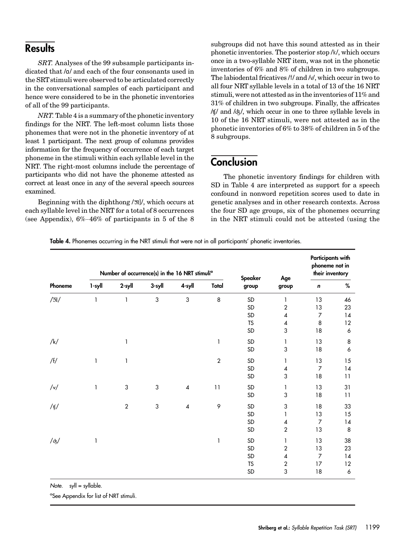### **Results**

SRT. Analyses of the 99 subsample participants indicated that /a/ and each of the four consonants used in the SRTstimuli were observed to be articulated correctly in the conversational samples of each participant and hence were considered to be in the phonetic inventories of all of the 99 participants.

NRT. Table 4 is a summary of the phonetic inventory findings for the NRT. The left-most column lists those phonemes that were not in the phonetic inventory of at least 1 participant. The next group of columns provides information for the frequency of occurrence of each target phoneme in the stimuli within each syllable level in the NRT. The right-most columns include the percentage of participants who did not have the phoneme attested as correct at least once in any of the several speech sources examined.

Beginning with the diphthong  $\sqrt{3}$ ]/, which occurs at each syllable level in the NRT for a total of 8 occurrences (see Appendix), 6%–46% of participants in 5 of the 8

subgroups did not have this sound attested as in their phonetic inventories. The posterior stop /k/, which occurs once in a two-syllable NRT item, was not in the phonetic inventories of 6% and 8% of children in two subgroups. The labiodental fricatives /f/ and /v/, which occur in two to all four NRT syllable levels in a total of 13 of the 16 NRT stimuli, were not attested as in the inventories of 11% and 31% of children in two subgroups. Finally, the affricates  $/$ f $/$  and  $/$  $\dot{\sigma}$  $/$ , which occur in one to three syllable levels in 10 of the 16 NRT stimuli, were not attested as in the phonetic inventories of 6% to 38% of children in 5 of the 8 subgroups.

## **Conclusion**

The phonetic inventory findings for children with SD in Table 4 are interpreted as support for a speech confound in nonword repetition scores used to date in genetic analyses and in other research contexts. Across the four SD age groups, six of the phonemes occurring in the NRT stimuli could not be attested (using the

Table 4. Phonemes occurring in the NRT stimuli that were not in all participants' phonetic inventories.

|              |              | Number of occurrence(s) in the 16 NRT stimuli <sup>a</sup> |        |                         |              |                  | Participants with<br>phoneme not in<br>their inventory |                |      |  |
|--------------|--------------|------------------------------------------------------------|--------|-------------------------|--------------|------------------|--------------------------------------------------------|----------------|------|--|
| Phoneme      | 1-syll       | $2$ -syll                                                  | 3-syll | 4-syll                  | Total        | Speaker<br>group | Age<br>group                                           | $\pmb{n}$      | $\%$ |  |
| $\sqrt{51}/$ | 1            | 1                                                          | 3      | 3                       | 8            | SD               | 1                                                      | 13             | 46   |  |
|              |              |                                                            |        |                         |              | SD               | $\overline{2}$                                         | 13             | 23   |  |
|              |              |                                                            |        |                         |              | SD               | 4                                                      | $\overline{7}$ | 14   |  |
|              |              |                                                            |        |                         |              | <b>TS</b>        | 4                                                      | 8              | 12   |  |
|              |              |                                                            |        |                         |              | SD               | 3                                                      | 18             | 6    |  |
| /k/          |              | $\mathbf{1}$                                               |        |                         | $\mathbf{1}$ | SD               | 1                                                      | 13             | 8    |  |
|              |              |                                                            |        |                         |              | $\mathsf{SD}$    | $\mathbf{3}$                                           | 18             | 6    |  |
| /f/          | $\mathbf{1}$ | 1                                                          |        |                         | $\mathbf{2}$ | SD               | 1                                                      | 13             | 15   |  |
|              |              |                                                            |        |                         |              | SD               | $\pmb{4}$                                              | $\overline{7}$ | 14   |  |
|              |              |                                                            |        |                         |              | SD               | 3                                                      | 18             | 11   |  |
| $/\sqrt{ }$  | $\mathbf{1}$ | $\sqrt{3}$                                                 | 3      | $\overline{\mathbf{4}}$ | 11           | SD               | 1                                                      | 13             | 31   |  |
|              |              |                                                            |        |                         |              | SD               | 3                                                      | 18             | 11   |  |
| /tʃ/         |              | $\overline{c}$                                             | 3      | 4                       | 9            | SD               | 3                                                      | 18             | 33   |  |
|              |              |                                                            |        |                         |              | SD               | 1                                                      | 13             | 15   |  |
|              |              |                                                            |        |                         |              | SD               | 4                                                      | $\overline{7}$ | 14   |  |
|              |              |                                                            |        |                         |              | SD               | $\overline{2}$                                         | 13             | 8    |  |
| $/\text{d}$  | 1            |                                                            |        |                         | $\mathbf{1}$ | SD               | 1                                                      | 13             | 38   |  |
|              |              |                                                            |        |                         |              | SD               | $\sqrt{2}$                                             | 13             | 23   |  |
|              |              |                                                            |        |                         |              | SD               | $\pmb{4}$                                              | $\overline{7}$ | 14   |  |
|              |              |                                                            |        |                         |              | <b>TS</b>        | $\sqrt{2}$                                             | 17             | 12   |  |
|              |              |                                                            |        |                         |              | SD               | 3                                                      | 18             | 6    |  |

Note.  $s$ yll = syllable.

a See Appendix for list of NRT stimuli.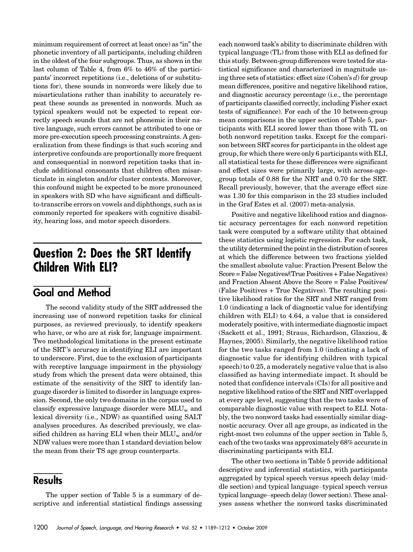minimum requirement of correct at least once) as "in" the phonetic inventory of all participants, including children in the oldest of the four subgroups. Thus, as shown in the last column of Table 4, from 6% to 46% of the participants' incorrect repetitions (i.e., deletions of or substitutions for), these sounds in nonwords were likely due to misarticulations rather than inability to accurately repeat these sounds as presented in nonwords. Much as typical speakers would not be expected to repeat correctly speech sounds that are not phonemic in their native language, such errors cannot be attributed to one or more pre-execution speech processing constraints. A generalization from these findings is that such scoring and interpretive confounds are proportionally more frequent and consequential in nonword repetition tasks that include additional consonants that children often misarticulate in singleton and/or cluster contexts. Moreover, this confound might be expected to be more pronounced in speakers with SD who have significant and difficultto-transcribe errors on vowels and diphthongs, such as is commonly reported for speakers with cognitive disability, hearing loss, and motor speech disorders.

# Question 2: Does the SRT Identify Children With ELI?

#### Goal and Method

The second validity study of the SRT addressed the increasing use of nonword repetition tasks for clinical purposes, as reviewed previously, to identify speakers who have, or who are at risk for, language impairment. Two methodological limitations in the present estimate of the SRT's accuracy in identifying ELI are important to underscore. First, due to the exclusion of participants with receptive language impairment in the physiology study from which the present data were obtained, this estimate of the sensitivity of the SRT to identify language disorder is limited to disorder in language expression. Second, the only two domains in the corpus used to classify expressive language disorder were  $MLU_w$  and lexical diversity (i.e., NDW) as quantified using SALT analyses procedures. As described previously, we classified children as having ELI when their  $MLU_w$  and/or NDW values were more than 1 standard deviation below the mean from their TS age group counterparts.

#### **Results**

The upper section of Table 5 is a summary of descriptive and inferential statistical findings assessing each nonword task's ability to discriminate children with typical language (TL) from those with ELI as defined for this study. Between-group differences were tested for statistical significance and characterized in magnitude using three sets of statistics: effect size (Cohen's  $d$ ) for group mean differences, positive and negative likelihood ratios, and diagnostic accuracy percentage (i.e., the percentage of participants classified correctly, including Fisher exact tests of significance). For each of the 10 between-group mean comparisons in the upper section of Table 5, participants with ELI scored lower than those with TL on both nonword repetition tasks. Except for the comparison between SRT scores for participants in the oldest age group, for which there were only 6 participants with ELI, all statistical tests for these differences were significant and effect sizes were primarily large, with across-agegroup totals of 0.88 for the NRT and 0.70 for the SRT. Recall previously, however, that the average effect size was 1.30 for this comparison in the 23 studies included in the Graf Estes et al. (2007) meta-analysis.

Positive and negative likelihood ratios and diagnostic accuracy percentages for each nonword repetition task were computed by a software utility that obtained these statistics using logistic regression. For each task, the utility determined the point in the distribution of scores at which the difference between two fractions yielded the smallest absolute value: Fraction Present Below the Score = False Negatives/(True Positives + False Negatives) and Fraction Absent Above the Score = False Positives/ (False Positives + True Negatives). The resulting positive likelihood ratios for the SRT and NRT ranged from 1.0 (indicating a lack of diagnostic value for identifying children with ELI) to 4.64, a value that is considered moderately positive, with intermediate diagnostic impact (Sackett et al., 1991; Straus, Richardson, Glasziou, & Haynes, 2005). Similarly, the negative likelihood ratios for the two tasks ranged from 1.0 (indicating a lack of diagnostic value for identifying children with typical speech) to 0.25, a moderately negative value that is also classified as having intermediate impact. It should be noted that confidence intervals (CIs) for all positive and negative likelihood ratios of the SRT and NRT overlapped at every age level, suggesting that the two tasks were of comparable diagnostic value with respect to ELI. Notably, the two nonword tasks had essentially similar diagnostic accuracy. Over all age groups, as indicated in the right-most two columns of the upper section in Table 5, each of the two tasks was approximately 68% accurate in discriminating participants with ELI.

The other two sections in Table 5 provide additional descriptive and inferential statistics, with participants aggregated by typical speech versus speech delay (middle section) and typical language–typical speech versus typical language–speech delay (lower section). These analyses assess whether the nonword tasks discriminated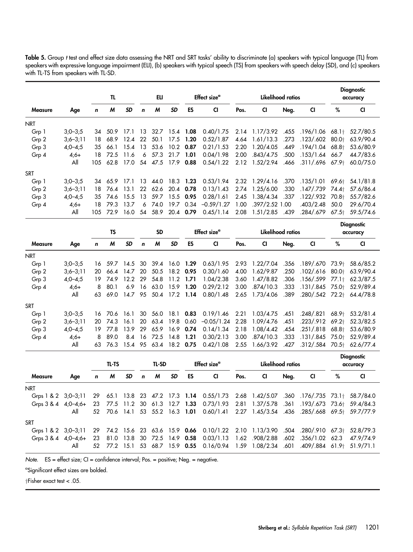|                |              |     | TL      |           |    | ELI  |           |           | Effect size <sup>a</sup> |      | Likelihood ratios |      |                               |       | <b>Diagnostic</b><br>accuracy |
|----------------|--------------|-----|---------|-----------|----|------|-----------|-----------|--------------------------|------|-------------------|------|-------------------------------|-------|-------------------------------|
| <b>Measure</b> | Age          | n   | M       | <b>SD</b> | n  | M    | <b>SD</b> | ES        | <b>CI</b>                | Pos. | <b>CI</b>         | Neg. | <b>CI</b>                     | %     | <b>CI</b>                     |
| <b>NRT</b>     |              |     |         |           |    |      |           |           |                          |      |                   |      |                               |       |                               |
| Grp 1          | $3:0-3:5$    | 34  | 50.9    | 17.1      | 13 | 32.7 |           | 15.4 1.08 | 0.40/1.75                |      | 2.14 1.17/3.92    | .455 | .196/1.06 68.1†               |       | 52.7/80.5                     |
| Grp 2          | $3,6 - 3,11$ | 18  | 68.9    | 12.4      | 22 | 50.1 |           | 17.5 1.20 | 0.52/1.87                | 4.64 | 1.61/13.3         | .273 | $.123/.602$ 80.0 <sup>+</sup> |       | 63.9/90.4                     |
| Grp 3          | $4,0 - 4,5$  | 35  | 66.1    | 15.4      | 13 | 53.6 |           | 10.2 0.87 | 0.21/1.53                | 2.20 | 1.20/4.05         | .449 | $.194/1.04$ 68.8 <sup>+</sup> |       | 53.6/80.9                     |
| Grp 4          | $4;6+$       | 18  | 72.5    | 11.6      | 6  | 57.3 | 21.7      | - 1.01    | 0.04/1.98                | 2.00 | .843/4.75         | .500 | .153/1.64 66.7                |       | 44.7/83.6                     |
|                | All          | 105 | 62.8    | 17.0      | 54 | 47.5 |           | 17.9 0.88 | 0.54/1.22                |      | 2.12 1.52/2.94    | .466 | .311/.696 67.9†               |       | 60.0/75.0                     |
| <b>SRT</b>     |              |     |         |           |    |      |           |           |                          |      |                   |      |                               |       |                               |
| Grp 1          | $3,0-3,5$    |     | 34 65.9 | 17.1      | 13 | 44.0 |           | 18.3 1.23 | 0.53/1.94                |      | 2.32 1.29/4.16    | .370 | .135/1.01                     | 69.6† | 54.1/81.8                     |
| Grp 2          | $3:6 - 3:11$ | 18. | 76.4    | 13.1      | 22 | 62.6 |           | 20.4 0.78 | 0.13/1.43                |      | 2.74 1.25/6.00    | .330 | .147/.739                     | 74.4† | 57.6/86.4                     |
| Grp 3          | $4,0 - 4,5$  | 35  | 74.6    | 15.5      | 13 | 59.7 | 15.5      | 0.95      | 0.28/1.61                | 2.45 | 1.38/4.34         | .337 | .122/.932                     | 70.8+ | 55.7/82.6                     |
| Grp 4          | $4:6+$       | 18  | 79.3    | 13.7      | 6  | 74.0 | 19.7      | 0.34      | $-0.59/1.27$             | 1.00 | $.397/2.52$ 1.00  |      | .403/2.48                     | 50.0  | 29.6/70.4                     |
|                | All          | 105 | 72.9    | 16.0      | 54 | 58.9 |           | 20.4 0.79 | 0.45/1.14                | 2.08 | 1.51/2.85         | .439 | .284/.679                     | 67.5† | 59.5/74.6                     |
|                |              |     |         |           |    |      |           |           |                          |      |                   |      |                               |       | Dissensite                    |

Table 5. Group t test and effect size data assessing the NRT and SRT tasks' ability to discriminate (a) speakers with typical language (TL) from speakers with expressive language impairment (ELI), (b) speakers with typical speech (TS) from speakers with speech delay (SD), and (c) speakers with TL-TS from speakers with TL-SD.

|                |              | ΤS  |              |         | <b>SD</b>   |       |           |                        | Effect size <sup>a</sup> | Likelihood ratios |                     |      |                               |       | piagnosiic<br>accuracy |  |  |
|----------------|--------------|-----|--------------|---------|-------------|-------|-----------|------------------------|--------------------------|-------------------|---------------------|------|-------------------------------|-------|------------------------|--|--|
| <b>Measure</b> | Age          | n   | M            | SD      | $\mathbf n$ | M     | <b>SD</b> | ES                     | <b>CI</b>                | Pos.              | <b>CI</b>           | Neg. | <b>CI</b>                     | %     | <b>CI</b>              |  |  |
| <b>NRT</b>     |              |     |              |         |             |       |           |                        |                          |                   |                     |      |                               |       |                        |  |  |
| Grp 1          | $3:0-3:5$    |     | 16 59.7 14.5 |         | -30         | -39.4 |           | 16.0 1.29              | 0.63/1.95                | 2.93              | 1.22/7.04           | .356 | .189/.670 73.9†               |       | 58.6/85.2              |  |  |
| Grp 2          | $3;6 - 3;11$ | 20  | 66.4         | 14.7 20 |             | 50.5  |           | 18.2 0.95              | 0.30/1.60                | 4.00              | 1.62/9.87           | .250 | $.102/.616$ 80.0 <sup>+</sup> |       | 63.9/90.4              |  |  |
| Grp 3          | $4;0 - 4;5$  | 19. | 74.9         | 12.2    | -29         | 54.8  | 11.2      | 1.71                   | 1.04/2.38                | 3.60              | 1.47/8.82           | .306 | .156/.599                     | 77.1+ | 62.3/87.5              |  |  |
| Grp 4          | $4:6+$       | 8   | 80.1         | 6.9     | 16          | 63.0  |           | 15.9 1.20              | 0.29/2.12                | 3.00              | .874/10.3           | .333 | $.131/.845$ 75.0 <sup>+</sup> |       | 52.9/89.4              |  |  |
|                | All          | 63  | 69.0         | 14.7 95 |             |       |           | 50.4 17.2 1.14         | 0.80/1.48                |                   | 2.65 1.73/4.06      | .389 | .280/.542 72.2                |       | 64.4/78.8              |  |  |
| <b>SRT</b>     |              |     |              |         |             |       |           |                        |                          |                   |                     |      |                               |       |                        |  |  |
| Grp 1          | $3:0 - 3:5$  |     | 16 70.6      | 16.1    | 30          | 56.0  | 18.1      |                        | $0.83$ $0.19/1.46$ 2.21  |                   | 1.03/4.75 .451      |      | .248/.821                     | 68.9+ | 53.2/81.4              |  |  |
| Grp 2          | $3:6 - 3:11$ | 20  | 74.3         | 16.1    | 20          | 63.4  |           | 19.8 0.60              | $-0.05/1.24$ 2.28        |                   | 1.09/4.76 .451      |      | .223/.912                     | 69.2+ | 52.3/82.5              |  |  |
| Grp 3          | $4,0 - 4,5$  | 19. | 77.8         | 13.9    | -29         | 65.9  |           | 16.9 0.74              | 0.14/1.34                | 2.18              | 1.08/4.42           | .454 | .251/.818                     | 68.8† | 53.6/80.9              |  |  |
| Grp 4          | $4:6+$       | 8   | 89.0         | 8.4     | 16          | 72.5  | 14.8      | 1.21                   | 0.30/2.13                | 3.00              | .874/10.3           | .333 | .131/.845                     | 75.0+ | 52.9/89.4              |  |  |
|                | All          | 63  | 76.3         |         |             |       |           | 15.4 95 63.4 18.2 0.75 | 0.42/1.08                |                   | 2.55 1.66/3.92 .427 |      | .312/.584 70.5+               |       | 62.6/77.4              |  |  |

|                         |     | TL-TS |   |    | TL-SD        |   |     |    | Effect size <sup>a</sup>                                                                                   | Likelihood ratios |           |      |           |   | <b>Diagnostic</b><br>accuracy |
|-------------------------|-----|-------|---|----|--------------|---|-----|----|------------------------------------------------------------------------------------------------------------|-------------------|-----------|------|-----------|---|-------------------------------|
| <b>Measure</b>          | Age | n     | M | SD | $\mathbf{r}$ | M | SD. | ES | <b>CI</b>                                                                                                  | Pos.              | <b>CI</b> | Neg. | <b>CI</b> | % | <b>CI</b>                     |
| <b>NRT</b>              |     |       |   |    |              |   |     |    |                                                                                                            |                   |           |      |           |   |                               |
| Grps 1 & 2 $3:0-3:11$   |     |       |   |    |              |   |     |    | 29 65.1 13.8 23 47.2 17.3 1.14 0.55/1.73 2.68 1.42/5.07 360 176/.735 73.1 58.7/84.0                        |                   |           |      |           |   |                               |
|                         |     |       |   |    |              |   |     |    | Grps 3 & 4 4;0-4;6+ 23 77.5 11.2 30 61.3 12.7 1.33 0.73/1.93 2.81 1.37/5.78 .361 .193/.673 73.6+ 59.4/84.3 |                   |           |      |           |   |                               |
|                         | All |       |   |    |              |   |     |    | 52 70.6 14.1 53 55.2 16.3 1.01 0.60/1.41 2.27 1.45/3.54 436 .285/.668 69.5+ 59.7/77.9                      |                   |           |      |           |   |                               |
| <b>SRT</b>              |     |       |   |    |              |   |     |    |                                                                                                            |                   |           |      |           |   |                               |
| Grps $1 & 2 & 3:0-3:11$ |     |       |   |    |              |   |     |    | 29 74.2 15.6 23 63.6 15.9 0.66 0.10/1.22 2.10 1.13/3.90 504 280/.910 67.3 52.8/79.3                        |                   |           |      |           |   |                               |
|                         |     |       |   |    |              |   |     |    | Grps 3 & 4 4;0-4;6+ 23 81.0 13.8 30 72.5 14.9 0.58 0.03/1.13 1.62 .908/2.88 .602 .356/1.02 62.3            |                   |           |      |           |   | 47.9/74.9                     |
|                         | All |       |   |    |              |   |     |    | 52 77.2 15.1 53 68.7 15.9 0.55 0.16/0.94 1.59 1.08/2.34 601 409/884 61.9 51.9/71.1                         |                   |           |      |           |   |                               |

Note. ES = effect size; CI = confidence interval; Pos. = positive; Neg. = negative.

<sup>a</sup>Significant effect sizes are bolded.

 $\dagger$ Fisher exact test < .05.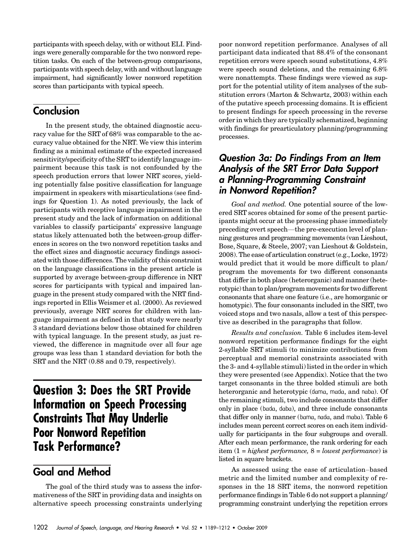participants with speech delay, with or without ELI. Findings were generally comparable for the two nonword repetition tasks. On each of the between-group comparisons, participants with speech delay, with and without language impairment, had significantly lower nonword repetition scores than participants with typical speech.

#### **Conclusion**

In the present study, the obtained diagnostic accuracy value for the SRT of 68% was comparable to the accuracy value obtained for the NRT. We view this interim finding as a minimal estimate of the expected increased sensitivity/specificity of the SRT to identify language impairment because this task is not confounded by the speech production errors that lower NRT scores, yielding potentially false positive classification for language impairment in speakers with misarticulations (see findings for Question 1). As noted previously, the lack of participants with receptive language impairment in the present study and the lack of information on additional variables to classify participants' expressive language status likely attenuated both the between-group differences in scores on the two nonword repetition tasks and the effect sizes and diagnostic accuracy findings associated with those differences. The validity of this constraint on the language classifications in the present article is supported by average between-group difference in NRT scores for participants with typical and impaired language in the present study compared with the NRT findings reported in Ellis Weismer et al. (2000). As reviewed previously, average NRT scores for children with language impairment as defined in that study were nearly 3 standard deviations below those obtained for children with typical language. In the present study, as just reviewed, the difference in magnitude over all four age groups was less than 1 standard deviation for both the SRT and the NRT (0.88 and 0.79, respectively).

# Question 3: Does the SRT Provide Information on Speech Processing Constraints That May Underlie Poor Nonword Repetition Task Performance?

### Goal and Method

The goal of the third study was to assess the informativeness of the SRT in providing data and insights on alternative speech processing constraints underlying poor nonword repetition performance. Analyses of all participant data indicated that 88.4% of the consonant repetition errors were speech sound substitutions, 4.8% were speech sound deletions, and the remaining 6.8% were nonattempts. These findings were viewed as support for the potential utility of item analyses of the substitution errors (Marton & Schwartz, 2003) within each of the putative speech processing domains. It is efficient to present findings for speech processing in the reverse order in which they are typically schematized, beginning with findings for prearticulatory planning/programming processes.

#### Question 3a: Do Findings From an Item Analysis of the SRT Error Data Support a Planning-Programming Constraint in Nonword Repetition?

Goal and method. One potential source of the lowered SRT scores obtained for some of the present participants might occur at the processing phase immediately preceding overt speech—the pre-execution level of planning gestures and programming movements (van Lieshout, Bose, Square, & Steele, 2007; van Lieshout & Goldstein, 2008). The ease of articulation construct (e.g., Locke, 1972) would predict that it would be more difficult to plan/ program the movements for two different consonants that differ in both place (heterorganic) and manner (heterotypic) than to plan/program movements for two different consonants that share one feature (i.e., are homorganic or homotypic). The four consonants included in the SRT, two voiced stops and two nasals, allow a test of this perspective as described in the paragraphs that follow.

Results and conclusion. Table 6 includes item-level nonword repetition performance findings for the eight 2-syllable SRT stimuli (to minimize contributions from perceptual and memorial constraints associated with the 3- and 4-syllable stimuli) listed in the order in which they were presented (see Appendix). Notice that the two target consonants in the three bolded stimuli are both heterorganic and heterotypic (dama, mada, and naba). Of the remaining stimuli, two include consonants that differ only in place (bada, daba), and three include consonants that differ only in manner (bama, nada, and maba). Table 6 includes mean percent correct scores on each item individually for participants in the four subgroups and overall. After each mean performance, the rank ordering for each item  $(1 = highest performance, 8 = lowest performance)$  is listed in square brackets.

As assessed using the ease of articulation–based metric and the limited number and complexity of responses in the 18 SRT items, the nonword repetition performance findings in Table 6 do not support a planning/ programming constraint underlying the repetition errors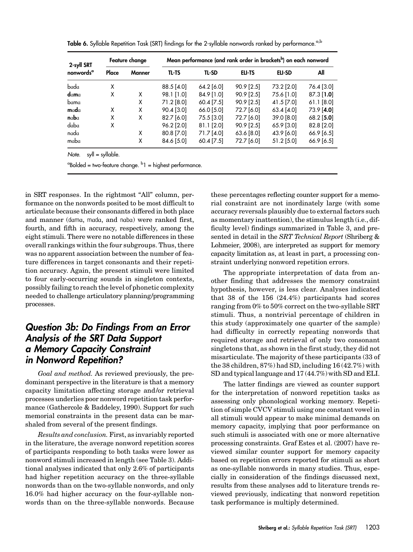| 2-syll SRT            |       | Feature change | Mean performance (and rank order in brackets <sup>b</sup> ) on each nonword |              |            |               |              |  |  |  |  |  |  |
|-----------------------|-------|----------------|-----------------------------------------------------------------------------|--------------|------------|---------------|--------------|--|--|--|--|--|--|
| nonwords <sup>a</sup> | Place | Manner         | TL-TS                                                                       | <b>TL-SD</b> | ELI-TS     | <b>ELI-SD</b> | All          |  |  |  |  |  |  |
| bada                  | X     |                | 88.5 [4.0]                                                                  | 64.2 [6.0]   | 90.9 [2.5] | 73.2 [2.0]    | 76.4 [3.0]   |  |  |  |  |  |  |
| dama                  | X     | x              | 98.1 [1.0]                                                                  | 84.9 [1.0]   | 90.9 [2.5] | 75.6 [1.0]    | $87.3$ [1.0] |  |  |  |  |  |  |
| bama                  |       | X              | 71.2 [8.0]                                                                  | 60.4 [7.5]   | 90.9 [2.5] | 41.5 [7.0]    | $61.1$ [8.0] |  |  |  |  |  |  |
| mada                  | X     | X              | 90.4 [3.0]                                                                  | 66.0 [5.0]   | 72.7 [6.0] | 63.4 [4.0]    | 73.9 [4.0]   |  |  |  |  |  |  |
| nab                   | X     | X              | 82.7 [6.0]                                                                  | 75.5 [3.0]   | 72.7 [6.0] | 39.0 [8.0]    | 68.2 [5.0]   |  |  |  |  |  |  |
| daba                  | X     |                | 96.2 [2.0]                                                                  | $81.1$ [2.0] | 90.9 [2.5] | 65.9 [3.0]    | 82.8 [2.0]   |  |  |  |  |  |  |
| nada                  |       | X              | 80.8 [7.0]                                                                  | 71.7 [4.0]   | 63.6 [8.0] | 43.9 [6.0]    | 66.9 [6.5]   |  |  |  |  |  |  |
| maba                  |       | X              | 84.6 [5.0]                                                                  | 60.4 [7.5]   | 72.7 [6.0] | 51.2 [5.0]    | $66.9$ [6.5] |  |  |  |  |  |  |

Table 6. Syllable Repetition Task (SRT) findings for the 2-syllable nonwords ranked by performance.<sup>a,b</sup>

<sup>a</sup>Bolded = two-feature change. <sup>b</sup>1 = highest performance.

in SRT responses. In the rightmost "All" column, performance on the nonwords posited to be most difficult to articulate because their consonants differed in both place and manner (dama, mada, and naba) were ranked first, fourth, and fifth in accuracy, respectively, among the eight stimuli. There were no notable differences in these overall rankings within the four subgroups. Thus, there was no apparent association between the number of feature differences in target consonants and their repetition accuracy. Again, the present stimuli were limited to four early-occurring sounds in singleton contexts, possibly failing to reach the level of phonetic complexity needed to challenge articulatory planning/programming processes.

#### Question 3b: Do Findings From an Error Analysis of the SRT Data Support a Memory Capacity Constraint in Nonword Repetition?

Goal and method. As reviewed previously, the predominant perspective in the literature is that a memory capacity limitation affecting storage and/or retrieval processes underlies poor nonword repetition task performance (Gathercole & Baddeley, 1990). Support for such memorial constraints in the present data can be marshaled from several of the present findings.

Results and conclusion. First, as invariably reported in the literature, the average nonword repetition scores of participants responding to both tasks were lower as nonword stimuli increased in length (see Table 3). Additional analyses indicated that only 2.6% of participants had higher repetition accuracy on the three-syllable nonwords than on the two-syllable nonwords, and only 16.0% had higher accuracy on the four-syllable nonwords than on the three-syllable nonwords. Because these percentages reflecting counter support for a memorial constraint are not inordinately large (with some accuracy reversals plausibly due to external factors such as momentary inattention), the stimulus length (i.e., difficulty level) findings summarized in Table 3, and presented in detail in the SRT Technical Report (Shriberg & Lohmeier, 2008), are interpreted as support for memory capacity limitation as, at least in part, a processing constraint underlying nonword repetition errors.

The appropriate interpretation of data from another finding that addresses the memory constraint hypothesis, however, is less clear. Analyses indicated that 38 of the 156 (24.4%) participants had scores ranging from 0% to 50% correct on the two-syllable SRT stimuli. Thus, a nontrivial percentage of children in this study (approximately one quarter of the sample) had difficulty in correctly repeating nonwords that required storage and retrieval of only two consonant singletons that, as shown in the first study, they did not misarticulate. The majority of these participants (33 of the 38 children, 87%) had SD, including 16 (42.7%) with SD and typical language and 17 (44.7%) with SD and ELI.

The latter findings are viewed as counter support for the interpretation of nonword repetition tasks as assessing only phonological working memory. Repetition of simple CVCV stimuli using one constant vowel in all stimuli would appear to make minimal demands on memory capacity, implying that poor performance on such stimuli is associated with one or more alternative processing constraints. Graf Estes et al. (2007) have reviewed similar counter support for memory capacity based on repetition errors reported for stimuli as short as one-syllable nonwords in many studies. Thus, especially in consideration of the findings discussed next, results from these analyses add to literature trends reviewed previously, indicating that nonword repetition task performance is multiply determined.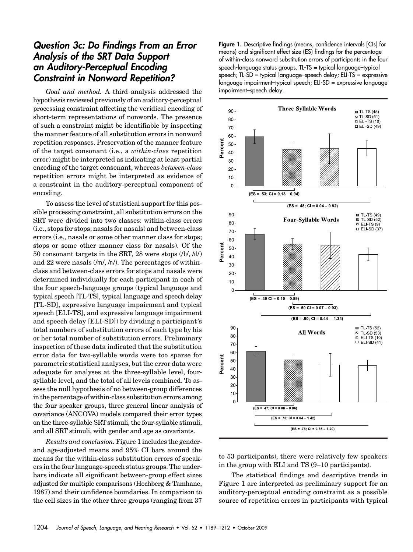#### Question 3c: Do Findings From an Error Analysis of the SRT Data Support an Auditory-Perceptual Encoding Constraint in Nonword Repetition?

Goal and method. A third analysis addressed the hypothesis reviewed previously of an auditory-perceptual processing constraint affecting the veridical encoding of short-term representations of nonwords. The presence of such a constraint might be identifiable by inspecting the manner feature of all substitution errors in nonword repetition responses. Preservation of the manner feature of the target consonant (i.e., a within-class repetition error) might be interpreted as indicating at least partial encoding of the target consonant, whereas between-class repetition errors might be interpreted as evidence of a constraint in the auditory-perceptual component of encoding.

To assess the level of statistical support for this possible processing constraint, all substitution errors on the SRT were divided into two classes: within-class errors (i.e., stops for stops; nasals for nasals) and between-class errors (i.e., nasals or some other manner class for stops; stops or some other manner class for nasals). Of the 50 consonant targets in the SRT, 28 were stops (/b/, /d/) and 22 were nasals  $(\text{Im}\, \text{/n/}).$  The percentages of withinclass and between-class errors for stops and nasals were determined individually for each participant in each of the four speech-language groups (typical language and typical speech [TL-TS], typical language and speech delay [TL-SD], expressive language impairment and typical speech [ELI-TS], and expressive language impairment and speech delay [ELI-SD]) by dividing a participant's total numbers of substitution errors of each type by his or her total number of substitution errors. Preliminary inspection of these data indicated that the substitution error data for two-syllable words were too sparse for parametric statistical analyses, but the error data were adequate for analyses at the three-syllable level, foursyllable level, and the total of all levels combined. To assess the null hypothesis of no between-group differences in the percentage of within-class substitution errors among the four speaker groups, three general linear analysis of covariance (ANCOVA) models compared their error types on the three-syllable SRT stimuli, the four-syllable stimuli, and all SRT stimuli, with gender and age as covariants.

Results and conclusion. Figure 1 includes the genderand age-adjusted means and 95% CI bars around the means for the within-class substitution errors of speakers in the four language-speech status groups. The underbars indicate all significant between-group effect sizes adjusted for multiple comparisons (Hochberg & Tamhane, 1987) and their confidence boundaries. In comparison to the cell sizes in the other three groups (ranging from 37 Figure 1. Descriptive findings (means, confidence intervals [CIs] for means) and significant effect size (ES) findings for the percentage of within-class nonword substitution errors of participants in the four speech-language status groups. TL-TS = typical language–typical speech; TL-SD = typical language–speech delay; ELI-TS = expressive language impairment–typical speech; ELI-SD = expressive language impairment–speech delay.



to 53 participants), there were relatively few speakers in the group with ELI and TS (9–10 participants).

The statistical findings and descriptive trends in Figure 1 are interpreted as preliminary support for an auditory-perceptual encoding constraint as a possible source of repetition errors in participants with typical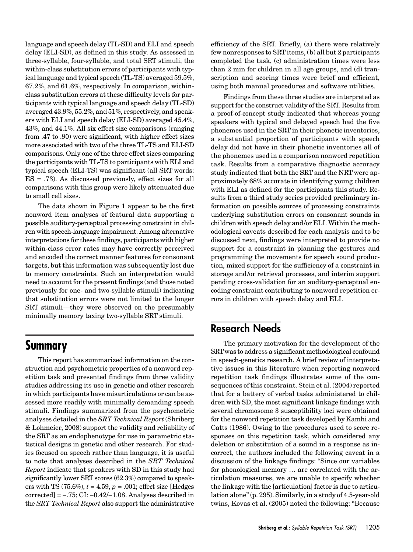language and speech delay (TL-SD) and ELI and speech delay (ELI-SD), as defined in this study. As assessed in three-syllable, four-syllable, and total SRT stimuli, the within-class substitution errors of participants with typical language and typical speech (TL-TS) averaged 59.5%, 67.2%, and 61.6%, respectively. In comparison, withinclass substitution errors at these difficulty levels for participants with typical language and speech delay (TL-SD) averaged 43.9%, 55.2%, and 51%, respectively, and speakers with ELI and speech delay (ELI-SD) averaged 45.4%, 43%, and 44.1%. All six effect size comparisons (ranging from .47 to .90) were significant, with higher effect sizes more associated with two of the three TL-TS and ELI-SD comparisons. Only one of the three effect sizes comparing the participants with TL-TS to participants with ELI and typical speech (ELI-TS) was significant (all SRT words: ES = .73). As discussed previously, effect sizes for all comparisons with this group were likely attenuated due to small cell sizes.

The data shown in Figure 1 appear to be the first nonword item analyses of featural data supporting a possible auditory-perceptual processing constraint in chilren with speech-language impairment. Among alternative interpretations for these findings, participants with higher within-class error rates may have correctly perceived and encoded the correct manner features for consonant targets, but this information was subsequently lost due to memory constraints. Such an interpretation would need to account for the present findings (and those noted previously for one- and two-syllable stimuli) indicating that substitution errors were not limited to the longer SRT stimuli—they were observed on the presumably minimally memory taxing two-syllable SRT stimuli.

### Summary

This report has summarized information on the construction and psychometric properties of a nonword repetition task and presented findings from three validity studies addressing its use in genetic and other research in which participants have misarticulations or can be assessed more readily with minimally demanding speech stimuli. Findings summarized from the psychometric analyses detailed in the SRT Technical Report (Shriberg & Lohmeier, 2008) support the validity and reliability of the SRT as an endophenotype for use in parametric statistical designs in genetic and other research. For studies focused on speech rather than language, it is useful to note that analyses described in the SRT Technical Report indicate that speakers with SD in this study had significantly lower SRT scores (62.3%) compared to speakers with TS (75.6%),  $t = 4.59$ ,  $p = .001$ ; effect size [Hedges corrected]  $= -.75$ ; CI:  $-0.42/-1.08$ . Analyses described in the SRT Technical Report also support the administrative

efficiency of the SRT. Briefly, (a) there were relatively few nonresponses to SRT items, (b) all but 2 participants completed the task, (c) administration times were less than 2 min for children in all age groups, and (d) transcription and scoring times were brief and efficient, using both manual procedures and software utilities.

Findings from these three studies are interpreted as support for the construct validity of the SRT. Results from a proof-of-concept study indicated that whereas young speakers with typical and delayed speech had the five phonemes used in the SRT in their phonetic inventories, a substantial proportion of participants with speech delay did not have in their phonetic inventories all of the phonemes used in a comparison nonword repetition task. Results from a comparative diagnostic accuracy study indicated that both the SRT and the NRT were approximately 68% accurate in identifying young children with ELI as defined for the participants this study. Results from a third study series provided preliminary information on possible sources of processing constraints underlying substitution errors on consonant sounds in children with speech delay and/or ELI. Within the methodological caveats described for each analysis and to be discussed next, findings were interpreted to provide no support for a constraint in planning the gestures and programming the movements for speech sound production, mixed support for the sufficiency of a constraint in storage and/or retrieval processes, and interim support pending cross-validation for an auditory-perceptual encoding constraint contributing to nonword repetition errors in children with speech delay and ELI.

### Research Needs

The primary motivation for the development of the SRTwas to address a significant methodological confound in speech-genetics research. A brief review of interpretative issues in this literature when reporting nonword repetition task findings illustrates some of the consequences of this constraint. Stein et al. (2004) reported that for a battery of verbal tasks administered to children with SD, the most significant linkage findings with several chromosome 3 susceptibility loci were obtained for the nonword repetition task developed by Kamhi and Catts (1986). Owing to the procedures used to score responses on this repetition task, which considered any deletion or substitution of a sound in a response as incorrect, the authors included the following caveat in a discussion of the linkage findings: "Since our variables for phonological memory ... are correlated with the articulation measures, we are unable to specify whether the linkage with the [articulation] factor is due to articulation alone"(p. 295). Similarly, in a study of 4.5-year-old twins, Kovas et al. (2005) noted the following: "Because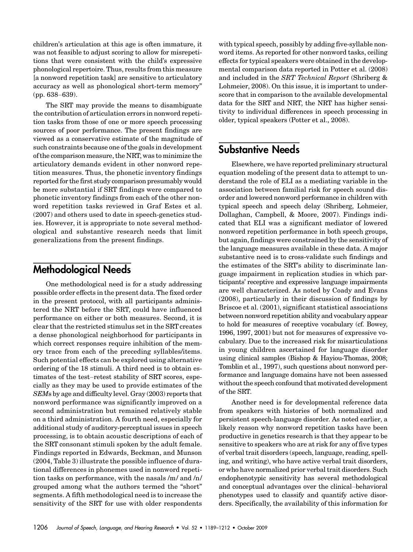children's articulation at this age is often immature, it was not feasible to adjust scoring to allow for misrepetitions that were consistent with the child's expressive phonological repertoire. Thus, results from this measure [a nonword repetition task] are sensitive to articulatory accuracy as well as phonological short-term memory" (pp. 638–639).

The SRT may provide the means to disambiguate the contribution of articulation errors in nonword repetition tasks from those of one or more speech processing sources of poor performance. The present findings are viewed as a conservative estimate of the magnitude of such constraints because one of the goals in development of the comparison measure, the NRT, was to minimize the articulatory demands evident in other nonword repetition measures. Thus, the phonetic inventory findings reported for the first study comparison presumably would be more substantial if SRT findings were compared to phonetic inventory findings from each of the other nonword repetition tasks reviewed in Graf Estes et al. (2007) and others used to date in speech-genetics studies. However, it is appropriate to note several methodological and substantive research needs that limit generalizations from the present findings.

### Methodological Needs

One methodological need is for a study addressing possible order effects in the present data. The fixed order in the present protocol, with all participants administered the NRT before the SRT, could have influenced performance on either or both measures. Second, it is clear that the restricted stimulus set in the SRT creates a dense phonological neighborhood for participants in which correct responses require inhibition of the memory trace from each of the preceding syllables/items. Such potential effects can be explored using alternative ordering of the 18 stimuli. A third need is to obtain estimates of the test–retest stability of SRT scores, especially as they may be used to provide estimates of the SEMs by age and difficulty level. Gray (2003) reports that nonword performance was significantly improved on a second administration but remained relatively stable on a third administration. A fourth need, especially for additional study of auditory-perceptual issues in speech processing, is to obtain acoustic descriptions of each of the SRT consonant stimuli spoken by the adult female. Findings reported in Edwards, Beckman, and Munson (2004, Table 3) illustrate the possible influence of durational differences in phonemes used in nonword repetition tasks on performance, with the nasals /m/ and /n/ grouped among what the authors termed the "short" segments. A fifth methodological need is to increase the sensitivity of the SRT for use with older respondents

with typical speech, possibly by adding five-syllable nonword items. As reported for other nonword tasks, ceiling effects for typical speakers were obtained in the developmental comparison data reported in Potter et al. (2008) and included in the SRT Technical Report (Shriberg & Lohmeier, 2008). On this issue, it is important to underscore that in comparison to the available developmental data for the SRT and NRT, the NRT has higher sensitivity to individual differences in speech processing in older, typical speakers (Potter et al., 2008).

### Substantive Needs

Elsewhere, we have reported preliminary structural equation modeling of the present data to attempt to understand the role of ELI as a mediating variable in the association between familial risk for speech sound disorder and lowered nonword performance in children with typical speech and speech delay (Shriberg, Lohmeier, Dollaghan, Campbell, & Moore, 2007). Findings indicated that ELI was a significant mediator of lowered nonword repetition performance in both speech groups, but again, findings were constrained by the sensitivity of the language measures available in these data. A major substantive need is to cross-validate such findings and the estimates of the SRT's ability to discriminate language impairment in replication studies in which participants' receptive and expressive language impairments are well characterized. As noted by Coady and Evans (2008), particularly in their discussion of findings by Briscoe et al. (2001), significant statistical associations between nonword repetition ability and vocabulary appear to hold for measures of receptive vocabulary (cf. Bowey, 1996, 1997, 2001) but not for measures of expressive vocabulary. Due to the increased risk for misarticulations in young children ascertained for language disorder using clinical samples (Bishop & Hayiou-Thomas, 2008; Tomblin et al., 1997), such questions about nonword performance and language domains have not been assessed without the speech confound that motivated development of the SRT.

Another need is for developmental reference data from speakers with histories of both normalized and persistent speech-language disorder. As noted earlier, a likely reason why nonword repetition tasks have been productive in genetics research is that they appear to be sensitive to speakers who are at risk for any of five types of verbal trait disorders (speech, language, reading, spelling, and writing), who have active verbal trait disorders, or who have normalized prior verbal trait disorders. Such endophenotypic sensitivity has several methodological and conceptual advantages over the clinical–behavioral phenotypes used to classify and quantify active disorders. Specifically, the availability of this information for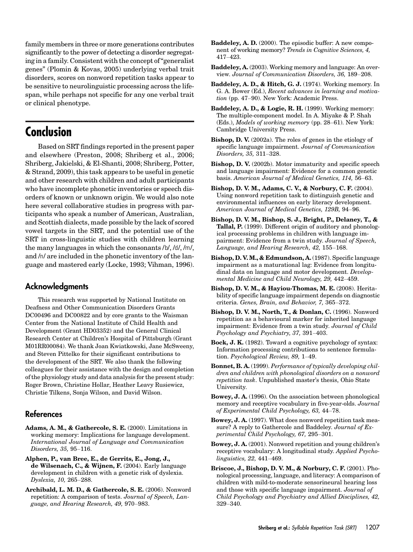family members in three or more generations contributes significantly to the power of detecting a disorder segregating in a family. Consistent with the concept of"generalist genes" (Plomin & Kovas, 2005) underlying verbal trait disorders, scores on nonword repetition tasks appear to be sensitive to neurolinguistic processing across the lifespan, while perhaps not specific for any one verbal trait or clinical phenotype.

# Conclusion

Based on SRT findings reported in the present paper and elsewhere (Preston, 2008; Shriberg et al., 2006; Shriberg, Jakielski, & El-Shanti, 2008; Shriberg, Potter, & Strand, 2009), this task appears to be useful in genetic and other research with children and adult participants who have incomplete phonetic inventories or speech disorders of known or unknown origin. We would also note here several collaborative studies in progress with participants who speak a number of American, Australian, and Scottish dialects, made possible by the lack of scored vowel targets in the SRT, and the potential use of the SRT in cross-linguistic studies with children learning the many languages in which the consonants /b/, /d/, /m/, and /n/ are included in the phonetic inventory of the language and mastered early (Locke, 1993; Vihman, 1996).

#### Acknowledgments

This research was supported by National Institute on Deafness and Other Communication Disorders Grants DC00496 and DC00822 and by core grants to the Waisman Center from the National Institute of Child Health and Development (Grant HD03352) and the General Clinical Research Center at Children's Hospital of Pittsburgh (Grant M01RR00084). We thank Joan Kwiatkowski, Jane McSweeny, and Steven Pittelko for their significant contributions to the development of the SRT. We also thank the following colleagues for their assistance with the design and completion of the physiology study and data analysis for the present study: Roger Brown, Christine Hollar, Heather Leavy Rusiewicz, Christie Tilkens, Sonja Wilson, and David Wilson.

#### References

- Adams, A. M., & Gathercole, S. E. (2000). Limitations in working memory: Implications for language development. International Journal of Language and Communication Disorders, 35, 95–116.
- Alphen, P., van Bree, E., de Gerrits, E., Jong, J., de Wilsenach, C., & Wijnen, F. (2004). Early language development in children with a genetic risk of dyslexia. Dyslexia, 10, 265–288.
- Archibald, L. M. D., & Gathercole, S. E. (2006). Nonword repetition: A comparison of tests. Journal of Speech, Language, and Hearing Research, 49, 970–983.
- Baddeley, A. D. (2000). The episodic buffer: A new component of working memory? Trends in Cognitive Sciences, 4, 417–423.
- Baddeley, A. (2003). Working memory and language: An overview. Journal of Communication Disorders, 36, 189–208.
- Baddeley, A. D., & Hitch, G. J. (1974). Working memory. In G. A. Bower (Ed.), Recent advances in learning and motivation (pp. 47–90). New York: Academic Press.
- Baddeley, A. D., & Logie, R. H. (1999). Working memory: The multiple-component model. In A. Miyake & P. Shah (Eds.), Models of working memory (pp. 28–61). New York: Cambridge University Press.
- Bishop, D. V. (2002a). The roles of genes in the etiology of specific language impairment. Journal of Communication Disorders, 35, 311–328.
- Bishop, D. V. (2002b). Motor immaturity and specific speech and language impairment: Evidence for a common genetic basis. American Journal of Medical Genetics, 114, 56–63.
- Bishop, D. V. M., Adams, C. V., & Norbury, C. F. (2004). Using nonword repetition task to distinguish genetic and environmental influences on early literacy development. American Journal of Medical Genetics, 129B, 94–96.
- Bishop, D. V. M., Bishop, S. J., Bright, P., Delaney, T., & Tallal, P. (1999). Different origin of auditory and phonological processing problems in children with language impairment: Evidence from a twin study. Journal of Speech, Language, and Hearing Research, 42, 155–168.
- Bishop, D. V. M., & Edmundson, A. (1987). Specific language impairment as a maturational lag: Evidence from longitudinal data on language and motor development. Developmental Medicine and Child Neurology, 29, 442–459.
- Bishop, D. V. M., & Hayiou-Thomas, M. E. (2008). Heritability of specific language impairment depends on diagnostic criteria. Genes, Brain, and Behavior, 7, 365–372.
- Bishop, D. V. M., North, T., & Donlan, C. (1996). Nonword repetition as a behavioural marker for inherited language impairment: Evidence from a twin study. Journal of Child Psychology and Psychiatry, 37, 391–403.
- Bock, J. K. (1982). Toward a cognitive psychology of syntax: Information processing contributions to sentence formulation. Psychological Review, 89, 1–49.
- Bonnet, B. A. (1999). Performance of typically developing children and children with phonological disorders on a nonword repetition task. Unpublished master's thesis, Ohio State University.
- Bowey, J. A. (1996). On the association between phonological memory and receptive vocabulary in five-year-olds. Journal of Experimental Child Psychology, 63, 44–78.
- Bowey, J. A. (1997). What does nonword repetition task measure? A reply to Gathercole and Baddeley. Journal of Experimental Child Psychology, 67, 295–301.
- Bowey, J. A. (2001). Nonword repetition and young children's receptive vocabulary: A longitudinal study. Applied Psycholinguistics, 22, 441–469.
- Briscoe, J., Bishop, D. V. M., & Norbury, C. F. (2001). Phonological processing, language, and literacy: A comparison of children with mild-to-moderate sensorineural hearing loss and those with specific language impairment. Journal of Child Psychology and Psychiatry and Allied Disciplines, 42, 329–340.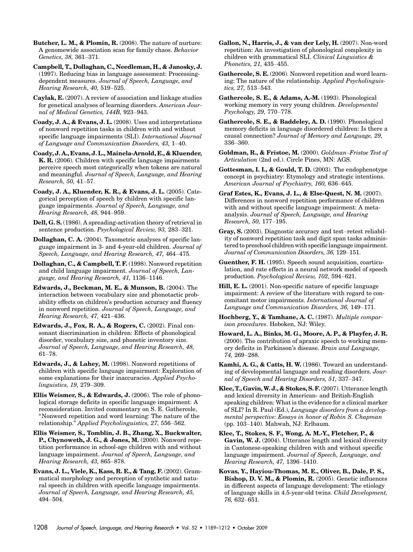Butcher, L. M., & Plomin, R. (2008). The nature of nurture: A genomewide association scan for family chaos. Behavior Genetics, 38, 361–371.

Campbell, T., Dollaghan, C., Needleman, H., & Janosky, J. (1997). Reducing bias in language assessment: Processingdependent measures. Journal of Speech, Language, and Hearing Research, 40, 519–525.

Caylak, E. (2007). A review of association and linkage studies for genetical analyses of learning disorders. American Journal of Medical Genetics, 144B, 923–943.

Coady, J. A., & Evans, J. L. (2008). Uses and interpretations of nonword repetition tasks in children with and without specific language impairments (SLI). International Journal of Language and Communication Disorders, 43, 1–40.

Coady, J. A., Evans, J. L., Mainela-Arnold, E., & Kluender, K. R. (2006). Children with specific language impairments perceive speech most categorically when tokens are natural and meaningful. Journal of Speech, Language, and Hearing Research, 50, 41–57.

Coady, J. A., Kluender, K. R., & Evans, J. L. (2005). Categorical perception of speech by children with specific language impairments. Journal of Speech, Language, and Hearing Research, 48, 944–959.

Dell, G. S. (1986). A spreading-activation theory of retrieval in sentence production. Psychological Review, 93, 283–321.

Dollaghan, C. A. (2004). Taxometric analyses of specific language impairment in 3- and 4-year-old children. Journal of Speech, Language, and Hearing Research, 47, 464–475.

Dollaghan, C., & Campbell, T. F. (1998). Nonword repetition and child language impairment. Journal of Speech, Language, and Hearing Research, 41, 1136–1146.

Edwards, J., Beckman, M. E., & Munson, B. (2004). The interaction between vocabulary size and phonotactic probability effects on children's production accuracy and fluency in nonword repetition. Journal of Speech, Language, and Hearing Research, 47, 421–436.

Edwards, J., Fox, R. A., & Rogers, C. (2002). Final consonant discrimination in children: Effects of phonological disorder, vocabulary size, and phonetic inventory size. Journal of Speech, Language, and Hearing Research, 48, 61–78.

Edwards, J., & Lahey, M. (1998). Nonword repetitions of children with specific language impairment: Exploration of some explanations for their inaccuracies. Applied Psycholinguistics, 19, 279–309.

Ellis Weismer, S., & Edwards, J. (2006). The role of phonological storage deficits in specific language impairment: A reconsideration. Invited commentary on S. E. Gathercole, "Nonword repetition and word learning: The nature of the relationship." Applied Psycholinguistics, 27, 556–562.

Ellis Weismer, S., Tomblin, J. B., Zhang, X., Buckwalter, P., Chynoweth, J. G., & Jones, M. (2000). Nonword repetition performance in school-age children with and without language impairment. Journal of Speech, Language, and Hearing Research, 43, 865–878.

Evans, J. L., Viele, K., Kass, R. E., & Tang, F. (2002). Grammatical morphology and perception of synthetic and natural speech in children with specific language impairments. Journal of Speech, Language, and Hearing Research, 45, 494–504.

Gallon, N., Harris, J., & van der Lely, H. (2007). Non-word repetition: An investigation of phonological complexity in children with grammatical SLI. Clinical Linguistics  $\&$ Phonetics, 21, 435–455.

Gathercole, S. E. (2006). Nonword repetition and word learning: The nature of the relationship. Applied Psycholinguistics, 27, 513–543.

Gathercole, S. E., & Adams, A.-M. (1993). Phonological working memory in very young children. Developmental Psychology, 29, 770–778.

Gathercole, S. E., & Baddeley, A. D. (1990). Phonological memory deficits in language disordered children: Is there a causal connection? Journal of Memory and Language, 29, 336–360.

Goldman, R., & Fristoe, M. (2000). Goldman–Fristoe Test of Articulation (2nd ed.). Circle Pines, MN: AGS.

Gottesman, I. I., & Gould, T. D. (2003). The endophenotype concept in psychiatry: Etymology and strategic intentions. American Journal of Psychiatry, 160, 636–645.

Graf Estes, K., Evans, J. L., & Else-Quest, N. M. (2007). Differences in nonword repetition performance of children with and without specific language impairment: A metaanalysis. Journal of Speech, Language, and Hearing Research, 50, 177–195.

Gray, S. (2003). Diagnostic accuracy and test–retest reliability of nonword repetition task and digit span tasks administered to preschool children with specific language impairment. Journal of Communication Disorders, 36, 129–151.

Guenther, F. H. (1995). Speech sound acquisition, coarticulation, and rate effects in a neural network model of speech production. Psychological Review, 102, 594–621.

Hill, E. L. (2001). Non-specific nature of specific language impairment: A review of the literature with regard to concomitant motor impairments. International Journal of Language and Communication Disorders, 36, 149–171.

Hochberg, Y., & Tamhane, A. C. (1987). Multiple comparison procedures. Hoboken, NJ: Wiley.

Howard, L. A., Binks, M. G., Moore, A. P., & Playfer, J. R. (2000). The contribution of apraxic speech to working memory deficits in Parkinson's disease. Brain and Language, 74, 269–288.

Kamhi, A. G., & Catts, H. W. (1986). Toward an understanding of developmental language and reading disorders. Journal of Speech and Hearing Disorders, 51, 337–347.

Klee, T., Gavin, W. J., & Stokes, S. F. (2007). Utterance length and lexical diversity in American- and British-English speaking children: What is the evidence for a clinical marker of SLI? In R. Paul (Ed.), Language disorders from a developmental perspective: Essays in honor of Robin S. Chapman (pp. 103–140). Mahwah, NJ: Erlbaum.

Klee, T., Stokes, S. F., Wong, A. M.-Y., Fletcher, P., & Gavin, W. J. (2004). Utterance length and lexical diversity in Cantonese-speaking children with and without specific language impairment. Journal of Speech, Language, and Hearing Research, 47, 1396–1410.

Kovas, Y., Hayiou-Thomas, M. E., Oliver, B., Dale, P. S., Bishop, D. V. M., & Plomin, R. (2005). Genetic influences in different aspects of language development: The etiology of language skills in 4.5-year-old twins. Child Development, 76, 632–651.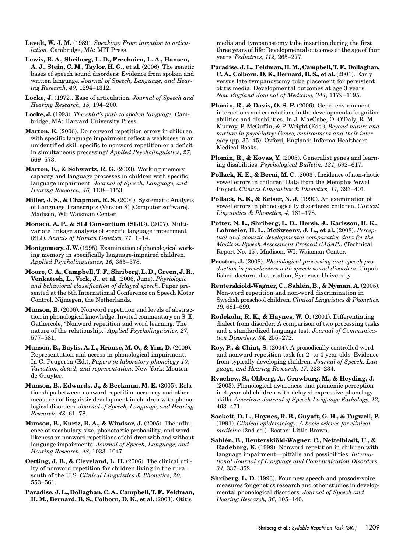Levelt, W. J. M. (1989). Speaking: From intention to articulation. Cambridge, MA: MIT Press.

Lewis, B. A., Shriberg, L. D., Freebairn, L. A., Hansen, A. J., Stein, C. M., Taylor, H. G., et al. (2006). The genetic bases of speech sound disorders: Evidence from spoken and written language. Journal of Speech, Language, and Hearing Research, 49, 1294–1312.

Locke, J. (1972). Ease of articulation. Journal of Speech and Hearing Research, 15, 194–200.

Locke, J. (1993). The child's path to spoken language. Cambridge, MA: Harvard University Press.

Marton, K. (2006). Do nonword repetition errors in children with specific language impairment reflect a weakness in an unidentified skill specific to nonword repetition or a deficit in simultaneous processing? Applied Psycholinguistics, 27, 569–573.

Marton, K., & Schwartz, R. G. (2003). Working memory capacity and language processes in children with specific language impairment. Journal of Speech, Language, and Hearing Research, 46, 1138–1153.

Miller, J. S., & Chapman, R. S. (2004). Systematic Analysis of Language Transcripts (Version 8) [Computer software]. Madison, WI: Waisman Center.

Monaco, A. P., & SLI Consortium (SLIC). (2007). Multivariate linkage analysis of specific language impairment (SLI). Annals of Human Genetics, 71, 1–14.

Montgomery, J.W.(1995). Examination of phonological working memory in specifically language-impaired children. Applied Psycholinguistics, 16, 355–378.

Moore, C. A., Campbell, T. F., Shriberg, L. D., Green, J. R., Venkatesh, L., Vick, J., et al. (2006, June). Physiologic and behavioral classification of delayed speech. Paper presented at the 5th International Conference on Speech Motor Control, Nijmegen, the Netherlands.

Munson, B. (2006). Nonword repetition and levels of abstraction in phonological knowledge. Invited commentary on S. E. Gathercole, "Nonword repetition and word learning: The nature of the relationship." Applied Psycholinguistics, 27, 577–581.

Munson, B., Baylis, A. L., Krause, M. O., & Yim, D. (2009). Representation and access in phonological impairment. In C. Fougerón (Ed.), Papers in laboratory phonology 10: Variation, detail, and representation. New York: Mouton de Gruyter.

Munson, B., Edwards, J., & Beckman, M. E. (2005). Relationships between nonword repetition accuracy and other measures of linguistic development in children with phonological disorders. Journal of Speech, Language, and Hearing Research, 48, 61–78.

Munson, B., Kurtz, B. A., & Windsor, J. (2005). The influence of vocabulary size, phonotactic probability, and wordlikeness on nonword repetitions of children with and without language impairments. Journal of Speech, Language, and Hearing Research, 48, 1033–1047.

Oetting, J. B., & Cleveland, L. H. (2006). The clinical utility of nonword repetition for children living in the rural south of the U.S. Clinical Linguistics & Phonetics, 20, 553–561.

Paradise, J. L., Dollaghan, C. A., Campbell, T. F., Feldman, H. M., Bernard, B. S., Colborn, D. K., et al. (2003). Otitis

media and tympanostomy tube insertion during the first three years of life: Developmental outcomes at the age of four years. Pediatrics, 112, 265–277.

Paradise, J. L., Feldman, H. M., Campbell, T. F., Dollaghan, C. A., Colborn, D. K., Bernard, B. S., et al. (2001). Early versus late tympanostomy tube placement for persistent otitis media: Developmental outcomes at age 3 years. New England Journal of Medicine, 344, 1179–1195.

Plomin, R., & Davis, O. S. P. (2006). Gene–environment interactions and correlations in the development of cognitive abilities and disabilities. In J. MacCabe, O. O'Daly, R. M. Murray, P. McGuffin, & P. Wright (Eds.), Beyond nature and nurture in psychiatry: Genes, environment and their interplay (pp. 35–45). Oxford, England: Informa Healthcare Medical Books.

Plomin, R., & Kovas, Y. (2005). Generalist genes and learning disabilities. Psychological Bulletin, 131, 592–617.

Pollack, K. E., & Berni, M. C. (2003). Incidence of non-rhotic vowel errors in children: Data from the Memphis Vowel Project. Clinical Linguistics & Phonetics, 17, 393–401.

Pollack, K. E., & Keiser, N. J. (1990). An examination of vowel errors in phonologically disordered children. Clinical Linguistics & Phonetics, 4, 161–178.

Potter, N. L., Shriberg, L. D., Hersh, J., Karlsson, H. K., Lohmeier, H. L., McSweeny, J. L., et al. (2008). Perceptual and acoustic developmental comparative data for the Madison Speech Assessment Protocol (MSAP). (Technical Report No. 15). Madison, WI: Waisman Center.

Preston, J. (2008). Phonological processing and speech production in preschoolers with speech sound disorders. Unpublished doctoral dissertation, Syracuse University.

Reuterskiöld-Wagner, C., Sahlén, B., & Nyman, A. (2005). Non-word repetition and non-word discrimination in Swedish preschool children. Clinical Linguistics & Phonetics, 19, 681–699.

Rodekohr, R. K., & Haynes, W. O. (2001). Differentiating dialect from disorder: A comparison of two processing tasks and a standardized language test. Journal of Communication Disorders, 34, 255–272.

Roy, P., & Chiat, S. (2004). A prosodically controlled word and nonword repetition task for 2- to 4-year-olds: Evidence from typically developing children. Journal of Speech, Language, and Hearing Research, 47, 223–234.

Rvachew, S., Ohberg, A., Grawburg, M., & Heyding, J. (2003). Phonological awareness and phonemic perception in 4-year-old children with delayed expressive phonology skills. American Journal of Speech-Language Pathology, 12, 463–471.

Sackett, D. L., Haynes, R. B., Guyatt, G. H., & Tugwell, P. (1991). Clinical epidemiology: A basic science for clinical medicine (2nd ed.). Boston: Little Brown.

Sahlén, B., Reuterskiöld-Wagner, C., Nettelbladt, U., & Radeborg, K. (1999). Nonword repetition in children with language impairment—pitfalls and possibilities. International Journal of Language and Communication Disorders, 34, 337–352.

Shriberg, L. D. (1993). Four new speech and prosody-voice measures for genetics research and other studies in developmental phonological disorders. Journal of Speech and Hearing Research, 36, 105–140.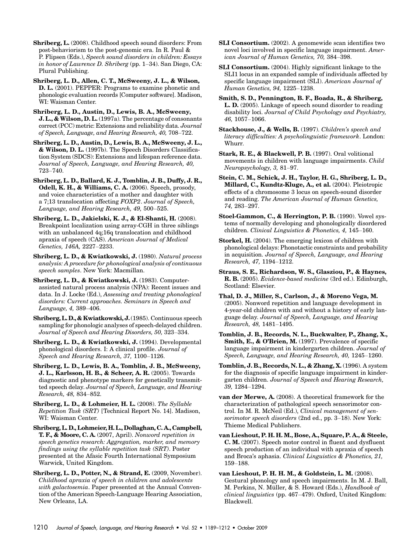Shriberg, L. (2008). Childhood speech sound disorders: From post-behaviorism to the post-genomic era. In R. Paul & P. Flipsen (Eds.), Speech sound disorders in children: Essays in honor of Lawrence D. Shriberg (pp. 1–34). San Diego, CA: Plural Publishing.

Shriberg, L. D., Allen, C. T., McSweeny, J. L., & Wilson, D. L. (2001). PEPPER: Programs to examine phonetic and phonologic evaluation records [Computer software]. Madison, WI: Waisman Center.

Shriberg, L. D., Austin, D., Lewis, B. A., McSweeny, J. L., & Wilson, D. L. (1997a). The percentage of consonants correct (PCC) metric: Extensions and reliability data. Journal of Speech, Language, and Hearing Research, 40, 708–722.

Shriberg, L. D., Austin, D., Lewis, B. A., McSweeny, J. L., & Wilson, D. L. (1997b). The Speech Disorders Classification System (SDCS): Extensions and lifespan reference data. Journal of Speech, Language, and Hearing Research, 40, 723–740.

Shriberg, L. D., Ballard, K. J., Tomblin, J. B., Duffy, J. R., Odell, K. H., & Williams, C. A. (2006). Speech, prosody, and voice characteristics of a mother and daughter with a 7;13 translocation affecting FOXP2. Journal of Speech, Language, and Hearing Research, 49, 500–525.

Shriberg, L. D., Jakielski, K. J., & El-Shanti, H. (2008). Breakpoint localization using array-CGH in three siblings with an unbalanced 4q;16q translocation and childhood apraxia of speech (CAS). American Journal of Medical Genetics, 146A, 2227–2233.

Shriberg, L. D., & Kwiatkowski, J. (1980). Natural process analysis: A procedure for phonological analysis of continuous speech samples. New York: Macmillan.

Shriberg, L. D., & Kwiatkowski, J. (1983). Computerassisted natural process analysis (NPA): Recent issues and data. In J. Locke (Ed.), Assessing and treating phonological disorders: Current approaches. Seminars in Speech and Language, 4, 389–406.

Shriberg, L. D., & Kwiatkowski, J.(1985). Continuous speech sampling for phonologic analyses of speech-delayed children. Journal of Speech and Hearing Disorders, 50, 323–334.

Shriberg, L. D., & Kwiatkowski, J. (1994). Developmental phonological disorders. I: A clinical profile. Journal of Speech and Hearing Research, 37, 1100–1126.

Shriberg, L. D., Lewis, B. A., Tomblin, J. B., McSweeny, J. L., Karlsson, H. B., & Scheer, A. R. (2005). Towards diagnostic and phenotype markers for genetically transmitted speech delay. Journal of Speech, Language, and Hearing Research, 48, 834–852.

Shriberg, L. D., & Lohmeier, H. L. (2008). The Syllable Repetition Task (SRT) [Technical Report No. 14]. Madison, WI: Waisman Center.

Shriberg, L. D., Lohmeier, H. L., Dollaghan, C. A., Campbell, T. F., & Moore, C. A. (2007, April). Nonword repetition in speech genetics research: Aggregation, marker, and memory findings using the syllable repetition task (SRT). Poster presented at the Afasic Fourth International Symposium Warwick, United Kingdom.

Shriberg, L. D., Potter, N., & Strand, E. (2009, November). Childhood apraxia of speech in children and adolescents with galactosemia. Paper presented at the Annual Convention of the American Speech-Language Hearing Association, New Orleans, LA.

- SLI Consortium. (2002). A genomewide scan identifies two novel loci involved in specific language impairment. American Journal of Human Genetics, 70, 384–398.
- SLI Consortium. (2004). Highly significant linkage to the SLI1 locus in an expanded sample of individuals affected by specific language impairment (SLI). American Journal of Human Genetics, 94, 1225–1238.
- Smith, S. D., Pennington, B. F., Boada, R., & Shriberg, L. D. (2005). Linkage of speech sound disorder to reading disability loci. Journal of Child Psychology and Psychiatry, 46, 1057–1066.

Stackhouse, J., & Wells, B. (1997). Children's speech and literacy difficulties: A psycholinguistic framework. London: Whurr.

- Stark, R. E., & Blackwell, P. B. (1997). Oral volitional movements in children with language impairments. Child Neuropsychology, 3, 81–97.
- Stein, C. M., Schick, J. H., Taylor, H. G., Shriberg, L. D., Millard, C., Kundtz-Kluge, A., et al. (2004). Pleiotropic effects of a chromosome 3 locus on speech-sound disorder and reading. The American Journal of Human Genetics, 74, 283–297.
- Stoel-Gammon, C., & Herrington, P. B. (1990). Vowel systems of normally developing and phonologically disordered children. Clinical Linguistics & Phonetics, 4, 145–160.
- Storkel, H. (2004). The emerging lexicon of children with phonological delays: Phonotactic constraints and probability in acquisition. Journal of Speech, Language, and Hearing Research, 47, 1194–1212.

Straus, S. E., Richardson, W. S., Glasziou, P., & Haynes, R. B. (2005). Evidence-based medicine (3rd ed.). Edinburgh, Scotland: Elsevier.

Thal, D. J., Miller, S., Carlson, J., & Moreno Vega, M. (2005). Nonword repetition and language development in 4-year-old children with and without a history of early language delay. Journal of Speech, Language, and Hearing Research, 48, 1481–1495.

Tomblin, J. B., Records, N. L., Buckwalter, P., Zhang, X., Smith, E., & O*'*Brien, M. (1997). Prevalence of specific language impairment in kindergarten children. Journal of Speech, Language, and Hearing Research, 40, 1245–1260.

Tomblin, J. B., Records, N. L., & Zhang, X. (1996). A system for the diagnosis of specific language impairment in kindergarten children. Journal of Speech and Hearing Research, 39, 1284–1294.

van der Merwe, A. (2008). A theoretical framework for the characterization of pathological speech sensorimotor control. In M. R. McNeil (Ed.), Clinical management of sensorimotor speech disorders (2nd ed., pp. 3-18). New York: Thieme Medical Publishers.

van Lieshout, P. H. H. M., Bose, A., Square, P. A., & Steele, C. M. (2007). Speech motor control in fluent and dysfluent speech production of an individual with apraxia of speech and Broca's aphasia. Clinical Linguistics & Phonetics, 21, 159–188.

van Lieshout, P. H. H. M., & Goldstein, L. M. (2008). Gestural phonology and speech impairments. In M. J. Ball, M. Perkins, N. Müller, & S. Howard (Eds.), Handbook of clinical linguistics (pp. 467–479). Oxford, United Kingdom: Blackwell.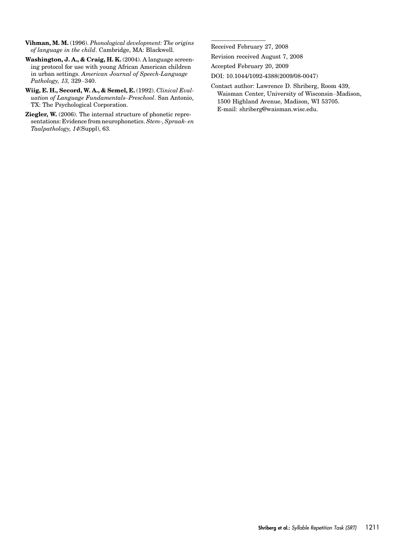Vihman, M. M. (1996). Phonological development: The origins of language in the child. Cambridge, MA: Blackwell.

Washington, J. A., & Craig, H. K. (2004). A language screening protocol for use with young African American children in urban settings. American Journal of Speech-Language Pathology, 13, 329–340.

Wiig, E. H., Secord, W. A., & Semel, E. (1992). Clinical Evaluation of Language Fundamentals–Preschool. San Antonio, TX: The Psychological Corporation.

Ziegler, W. (2006). The internal structure of phonetic representations: Evidence from neurophonetics. Stem-, Spraak- en Taalpathology, 14(Suppl), 63.

Received February 27, 2008

Revision received August 7, 2008

Accepted February 20, 2009

DOI: 10.1044/1092-4388(2009/08-0047)

Contact author: Lawrence D. Shriberg, Room 439, Waisman Center, University of Wisconsin–Madison, 1500 Highland Avenue, Madison, WI 53705. E-mail: shriberg@waisman.wisc.edu.